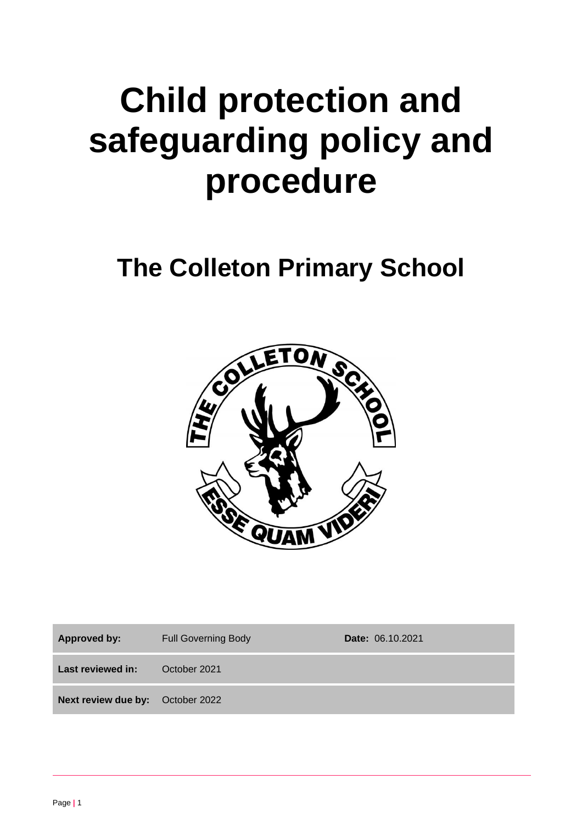# **Child protection and safeguarding policy and procedure**

# **The Colleton Primary School**



Approved by: Full Governing Body **Date:** 06.10.2021 **Last reviewed in:** October 2021 **Next review due by:** October 2022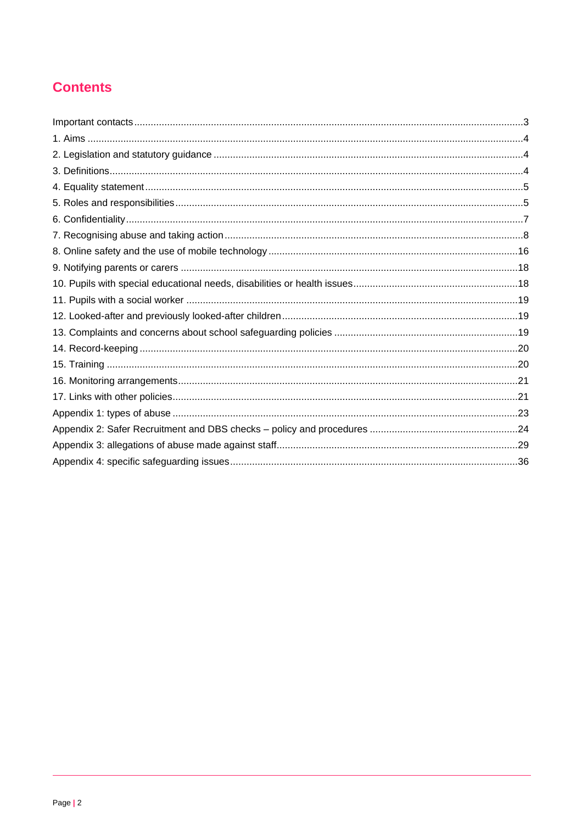# **Contents**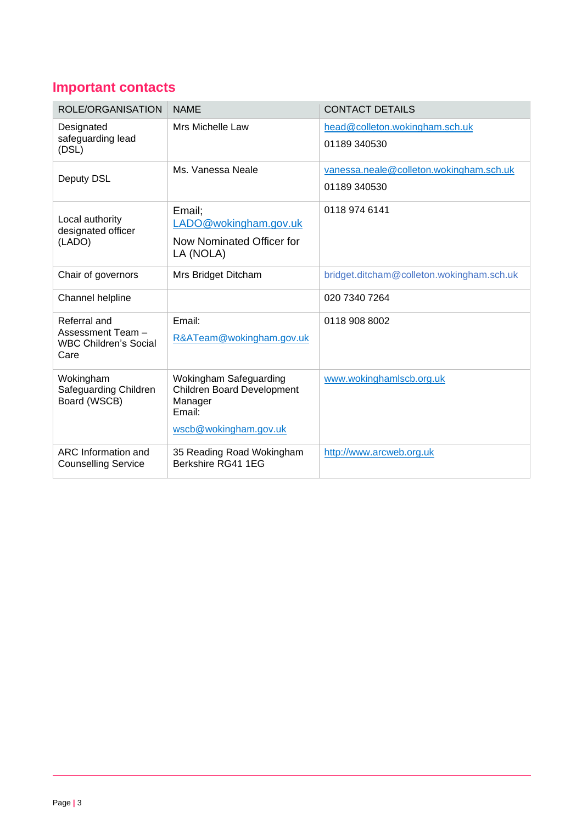# **Important contacts**

| ROLE/ORGANISATION                                         | <b>NAME</b>                                                 | <b>CONTACT DETAILS</b>                         |
|-----------------------------------------------------------|-------------------------------------------------------------|------------------------------------------------|
| Designated<br>safeguarding lead<br>(DSL)                  | Mrs Michelle Law                                            | head@colleton.wokingham.sch.uk<br>01189 340530 |
|                                                           |                                                             |                                                |
| Deputy DSL                                                | Ms. Vanessa Neale                                           | vanessa.neale@colleton.wokingham.sch.uk        |
|                                                           |                                                             | 01189 340530                                   |
| Local authority<br>designated officer<br>(LADO)           | Email;                                                      | 0118 974 6141                                  |
|                                                           | LADO@wokingham.gov.uk                                       |                                                |
|                                                           | Now Nominated Officer for<br>LA (NOLA)                      |                                                |
| Chair of governors                                        | Mrs Bridget Ditcham                                         | bridget.ditcham@colleton.wokingham.sch.uk      |
| Channel helpline                                          |                                                             | 020 7340 7264                                  |
| Referral and                                              | Email:                                                      | 0118 908 8002                                  |
| Assessment Team -<br><b>WBC Children's Social</b><br>Care | R&ATeam@wokingham.gov.uk                                    |                                                |
| Wokingham<br>Safeguarding Children<br>Board (WSCB)        | Wokingham Safeguarding<br><b>Children Board Development</b> | www.wokinghamlscb.org.uk                       |
|                                                           | Manager<br>Email:                                           |                                                |
|                                                           | wscb@wokingham.gov.uk                                       |                                                |
| ARC Information and<br><b>Counselling Service</b>         | 35 Reading Road Wokingham<br>Berkshire RG41 1EG             | http://www.arcweb.org.uk                       |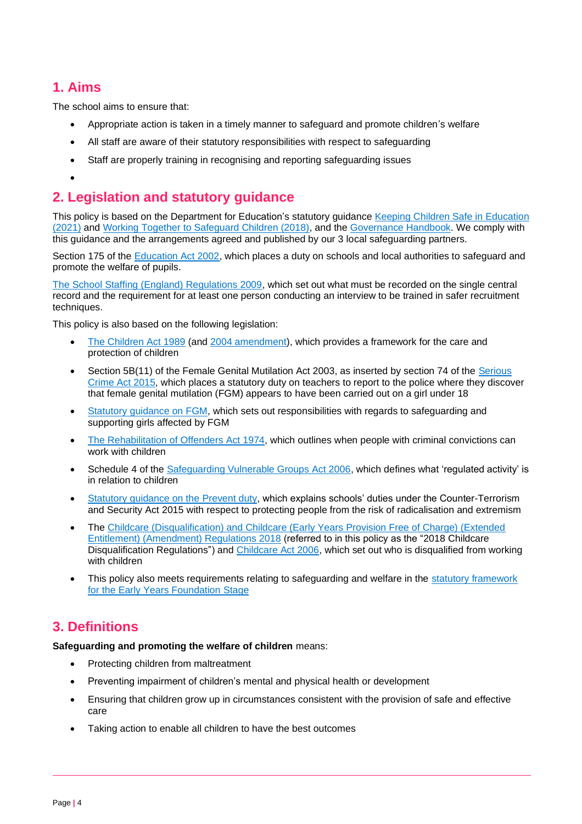# **1. Aims**

The school aims to ensure that:

- Appropriate action is taken in a timely manner to safeguard and promote children's welfare
- All staff are aware of their statutory responsibilities with respect to safeguarding
- Staff are properly training in recognising and reporting safeguarding issues
- •

# **2. Legislation and statutory guidance**

This policy is based on the Department for Education's statutory guidance [Keeping Children Safe in Education](https://www.gov.uk/government/publications/keeping-children-safe-in-education--2)  [\(2021\)](https://www.gov.uk/government/publications/keeping-children-safe-in-education--2) and [Working Together to Safeguard Children \(2018\),](https://www.gov.uk/government/publications/working-together-to-safeguard-children--2) and the [Governance Handbook.](https://www.gov.uk/government/publications/governance-handbook) We comply with this guidance and the arrangements agreed and published by our 3 local safeguarding partners.

Section 175 of the [Education Act 2002,](http://www.legislation.gov.uk/ukpga/2002/32/section/175) which places a duty on schools and local authorities to safeguard and promote the welfare of pupils.

[The School Staffing \(England\) Regulations 2009,](http://www.legislation.gov.uk/uksi/2009/2680/contents/made) which set out what must be recorded on the single central record and the requirement for at least one person conducting an interview to be trained in safer recruitment techniques.

This policy is also based on the following legislation:

- [The Children Act 1989](http://www.legislation.gov.uk/ukpga/1989/41) (and [2004 amendment\)](http://www.legislation.gov.uk/ukpga/2004/31/contents), which provides a framework for the care and protection of children
- Section 5B(11) of the Female Genital Mutilation Act 2003, as inserted by section 74 of the [Serious](http://www.legislation.gov.uk/ukpga/2015/9/part/5/crossheading/female-genital-mutilation)  [Crime Act 2015,](http://www.legislation.gov.uk/ukpga/2015/9/part/5/crossheading/female-genital-mutilation) which places a statutory duty on teachers to report to the police where they discover that female genital mutilation (FGM) appears to have been carried out on a girl under 18
- Statutory quidance on FGM, which sets out responsibilities with regards to safeguarding and supporting girls affected by FGM
- [The Rehabilitation of Offenders Act 1974,](http://www.legislation.gov.uk/ukpga/1974/53) which outlines when people with criminal convictions can work with children
- Schedule 4 of the [Safeguarding Vulnerable Groups Act 2006,](http://www.legislation.gov.uk/ukpga/2006/47/schedule/4) which defines what 'regulated activity' is in relation to children
- [Statutory guidance on the Prevent duty,](https://www.gov.uk/government/publications/prevent-duty-guidance) which explains schools' duties under the Counter-Terrorism and Security Act 2015 with respect to protecting people from the risk of radicalisation and extremism
- The [Childcare \(Disqualification\) and Childcare \(Early Years Provision Free of Charge\) \(Extended](http://www.legislation.gov.uk/uksi/2018/794/contents/made)  [Entitlement\) \(Amendment\) Regulations 2018](http://www.legislation.gov.uk/uksi/2018/794/contents/made) (referred to in this policy as the "2018 Childcare Disqualification Regulations") an[d Childcare Act 2006,](http://www.legislation.gov.uk/ukpga/2006/21/contents) which set out who is disqualified from working with children
- This policy also meets requirements relating to safeguarding and welfare in the statutory framework [for the Early Years Foundation Stage](https://www.gov.uk/government/publications/early-years-foundation-stage-framework--2)

# **3. Definitions**

**Safeguarding and promoting the welfare of children** means:

- Protecting children from maltreatment
- Preventing impairment of children's mental and physical health or development
- Ensuring that children grow up in circumstances consistent with the provision of safe and effective care
- Taking action to enable all children to have the best outcomes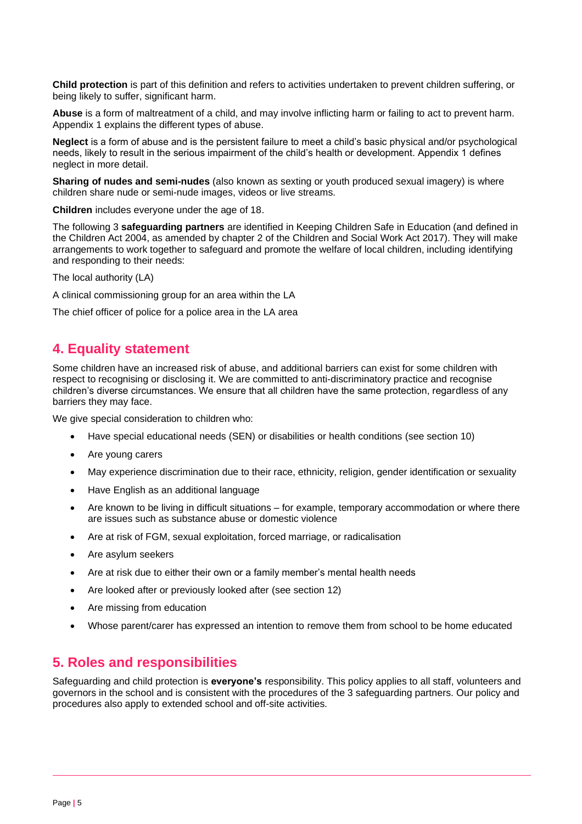**Child protection** is part of this definition and refers to activities undertaken to prevent children suffering, or being likely to suffer, significant harm.

**Abuse** is a form of maltreatment of a child, and may involve inflicting harm or failing to act to prevent harm. Appendix 1 explains the different types of abuse.

**Neglect** is a form of abuse and is the persistent failure to meet a child's basic physical and/or psychological needs, likely to result in the serious impairment of the child's health or development. Appendix 1 defines neglect in more detail.

**Sharing of nudes and semi-nudes** (also known as sexting or youth produced sexual imagery) is where children share nude or semi-nude images, videos or live streams.

**Children** includes everyone under the age of 18.

The following 3 **safeguarding partners** are identified in Keeping Children Safe in Education (and defined in the Children Act 2004, as amended by chapter 2 of the Children and Social Work Act 2017). They will make arrangements to work together to safeguard and promote the welfare of local children, including identifying and responding to their needs:

The local authority (LA)

A clinical commissioning group for an area within the LA

The chief officer of police for a police area in the LA area

## **4. Equality statement**

Some children have an increased risk of abuse, and additional barriers can exist for some children with respect to recognising or disclosing it. We are committed to anti-discriminatory practice and recognise children's diverse circumstances. We ensure that all children have the same protection, regardless of any barriers they may face.

We give special consideration to children who:

- Have special educational needs (SEN) or disabilities or health conditions (see section 10)
- Are young carers
- May experience discrimination due to their race, ethnicity, religion, gender identification or sexuality
- Have English as an additional language
- Are known to be living in difficult situations for example, temporary accommodation or where there are issues such as substance abuse or domestic violence
- Are at risk of FGM, sexual exploitation, forced marriage, or radicalisation
- Are asylum seekers
- Are at risk due to either their own or a family member's mental health needs
- Are looked after or previously looked after (see section 12)
- Are missing from education
- Whose parent/carer has expressed an intention to remove them from school to be home educated

## **5. Roles and responsibilities**

Safeguarding and child protection is **everyone's** responsibility. This policy applies to all staff, volunteers and governors in the school and is consistent with the procedures of the 3 safeguarding partners. Our policy and procedures also apply to extended school and off-site activities.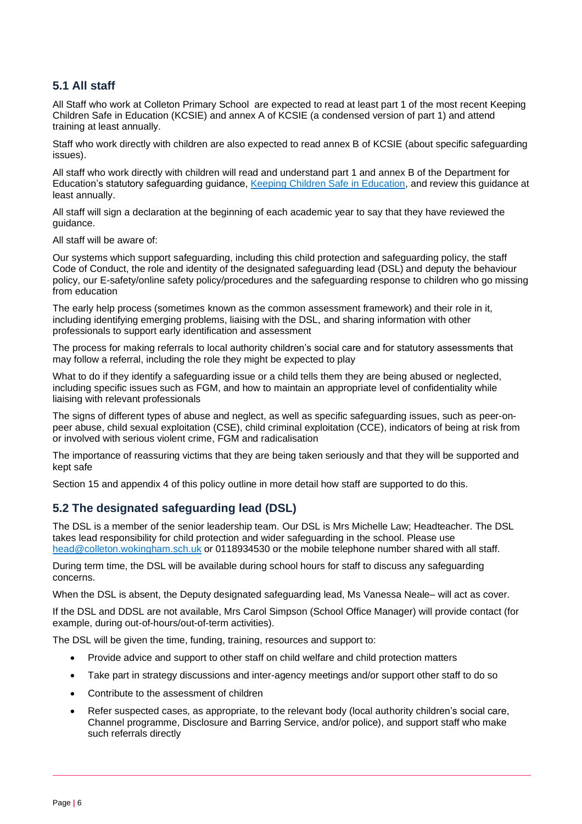## **5.1 All staff**

All Staff who work at Colleton Primary School are expected to read at least part 1 of the most recent Keeping Children Safe in Education (KCSIE) and annex A of KCSIE (a condensed version of part 1) and attend training at least annually.

Staff who work directly with children are also expected to read annex B of KCSIE (about specific safeguarding issues).

All staff who work directly with children will read and understand part 1 and annex B of the Department for Education's statutory safeguarding guidance, [Keeping Children Safe in Education,](https://www.gov.uk/government/publications/keeping-children-safe-in-education--2) and review this guidance at least annually.

All staff will sign a declaration at the beginning of each academic year to say that they have reviewed the guidance.

All staff will be aware of:

Our systems which support safeguarding, including this child protection and safeguarding policy, the staff Code of Conduct, the role and identity of the designated safeguarding lead (DSL) and deputy the behaviour policy, our E-safety/online safety policy/procedures and the safeguarding response to children who go missing from education

The early help process (sometimes known as the common assessment framework) and their role in it, including identifying emerging problems, liaising with the DSL, and sharing information with other professionals to support early identification and assessment

The process for making referrals to local authority children's social care and for statutory assessments that may follow a referral, including the role they might be expected to play

What to do if they identify a safeguarding issue or a child tells them they are being abused or neglected, including specific issues such as FGM, and how to maintain an appropriate level of confidentiality while liaising with relevant professionals

The signs of different types of abuse and neglect, as well as specific safeguarding issues, such as peer-onpeer abuse, child sexual exploitation (CSE), child criminal exploitation (CCE), indicators of being at risk from or involved with serious violent crime, FGM and radicalisation

The importance of reassuring victims that they are being taken seriously and that they will be supported and kept safe

Section 15 and appendix 4 of this policy outline in more detail how staff are supported to do this.

## **5.2 The designated safeguarding lead (DSL)**

The DSL is a member of the senior leadership team. Our DSL is Mrs Michelle Law; Headteacher. The DSL takes lead responsibility for child protection and wider safeguarding in the school. Please use [head@colleton.wokingham.sch.uk](mailto:head@colleton.wokingham.sch.uk) or 0118934530 or the mobile telephone number shared with all staff.

During term time, the DSL will be available during school hours for staff to discuss any safeguarding concerns.

When the DSL is absent, the Deputy designated safeguarding lead, Ms Vanessa Neale– will act as cover.

If the DSL and DDSL are not available, Mrs Carol Simpson (School Office Manager) will provide contact (for example, during out-of-hours/out-of-term activities).

The DSL will be given the time, funding, training, resources and support to:

- Provide advice and support to other staff on child welfare and child protection matters
- Take part in strategy discussions and inter-agency meetings and/or support other staff to do so
- Contribute to the assessment of children
- Refer suspected cases, as appropriate, to the relevant body (local authority children's social care, Channel programme, Disclosure and Barring Service, and/or police), and support staff who make such referrals directly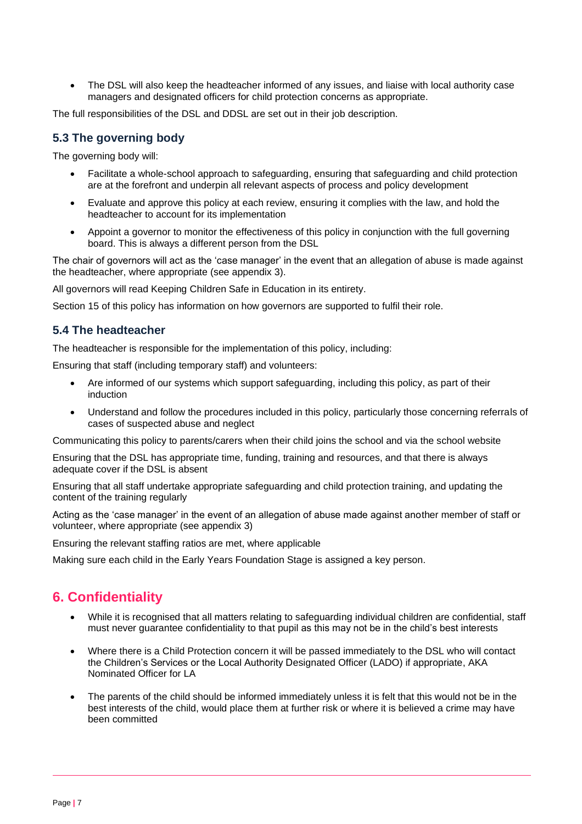The DSL will also keep the headteacher informed of any issues, and liaise with local authority case managers and designated officers for child protection concerns as appropriate.

The full responsibilities of the DSL and DDSL are set out in their job description.

## **5.3 The governing body**

The governing body will:

- Facilitate a whole-school approach to safeguarding, ensuring that safeguarding and child protection are at the forefront and underpin all relevant aspects of process and policy development
- Evaluate and approve this policy at each review, ensuring it complies with the law, and hold the headteacher to account for its implementation
- Appoint a governor to monitor the effectiveness of this policy in conjunction with the full governing board. This is always a different person from the DSL

The chair of governors will act as the 'case manager' in the event that an allegation of abuse is made against the headteacher, where appropriate (see appendix 3).

All governors will read Keeping Children Safe in Education in its entirety.

Section 15 of this policy has information on how governors are supported to fulfil their role.

## **5.4 The headteacher**

The headteacher is responsible for the implementation of this policy, including:

Ensuring that staff (including temporary staff) and volunteers:

- Are informed of our systems which support safeguarding, including this policy, as part of their induction
- Understand and follow the procedures included in this policy, particularly those concerning referrals of cases of suspected abuse and neglect

Communicating this policy to parents/carers when their child joins the school and via the school website

Ensuring that the DSL has appropriate time, funding, training and resources, and that there is always adequate cover if the DSL is absent

Ensuring that all staff undertake appropriate safeguarding and child protection training, and updating the content of the training regularly

Acting as the 'case manager' in the event of an allegation of abuse made against another member of staff or volunteer, where appropriate (see appendix 3)

Ensuring the relevant staffing ratios are met, where applicable

Making sure each child in the Early Years Foundation Stage is assigned a key person.

# **6. Confidentiality**

- While it is recognised that all matters relating to safeguarding individual children are confidential, staff must never guarantee confidentiality to that pupil as this may not be in the child's best interests
- Where there is a Child Protection concern it will be passed immediately to the DSL who will contact the Children's Services or the Local Authority Designated Officer (LADO) if appropriate, AKA Nominated Officer for LA
- The parents of the child should be informed immediately unless it is felt that this would not be in the best interests of the child, would place them at further risk or where it is believed a crime may have been committed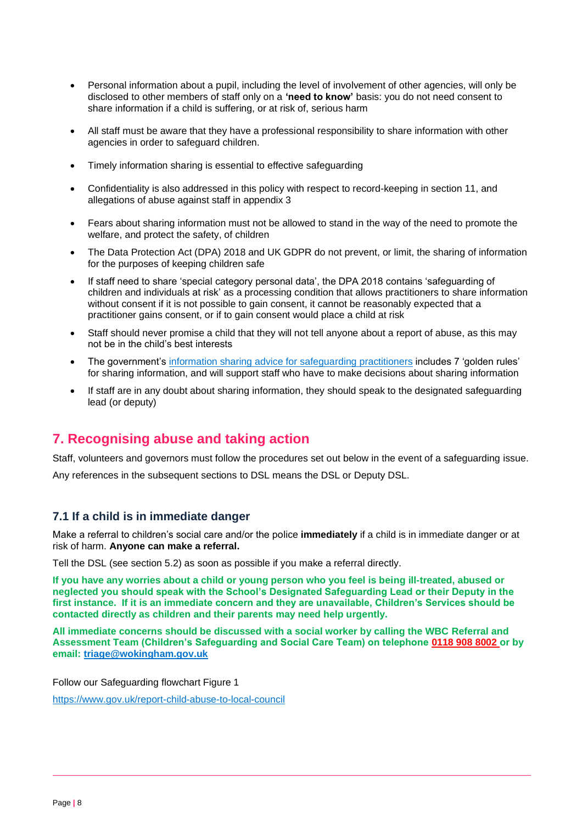- Personal information about a pupil, including the level of involvement of other agencies, will only be disclosed to other members of staff only on a **'need to know'** basis: you do not need consent to share information if a child is suffering, or at risk of, serious harm
- All staff must be aware that they have a professional responsibility to share information with other agencies in order to safeguard children.
- Timely information sharing is essential to effective safeguarding
- Confidentiality is also addressed in this policy with respect to record-keeping in section 11, and allegations of abuse against staff in appendix 3
- Fears about sharing information must not be allowed to stand in the way of the need to promote the welfare, and protect the safety, of children
- The Data Protection Act (DPA) 2018 and UK GDPR do not prevent, or limit, the sharing of information for the purposes of keeping children safe
- If staff need to share 'special category personal data', the DPA 2018 contains 'safeguarding of children and individuals at risk' as a processing condition that allows practitioners to share information without consent if it is not possible to gain consent, it cannot be reasonably expected that a practitioner gains consent, or if to gain consent would place a child at risk
- Staff should never promise a child that they will not tell anyone about a report of abuse, as this may not be in the child's best interests
- The government's [information sharing advice for safeguarding practitioners](https://www.gov.uk/government/publications/safeguarding-practitioners-information-sharing-advice) includes 7 'golden rules' for sharing information, and will support staff who have to make decisions about sharing information
- If staff are in any doubt about sharing information, they should speak to the designated safeguarding lead (or deputy)

# **7. Recognising abuse and taking action**

Staff, volunteers and governors must follow the procedures set out below in the event of a safeguarding issue. Any references in the subsequent sections to DSL means the DSL or Deputy DSL.

## **7.1 If a child is in immediate danger**

Make a referral to children's social care and/or the police **immediately** if a child is in immediate danger or at risk of harm. **Anyone can make a referral.**

Tell the DSL (see section 5.2) as soon as possible if you make a referral directly.

**If you have any worries about a child or young person who you feel is being ill-treated, abused or neglected you should speak with the School's Designated Safeguarding Lead or their Deputy in the first instance. If it is an immediate concern and they are unavailable, Children's Services should be contacted directly as children and their parents may need help urgently.**

**All immediate concerns should be discussed with a social worker by calling the WBC Referral and Assessment Team (Children's Safeguarding and Social Care Team) on telephone 0118 908 8002 or by email: [triage@wokingham.gov.uk](mailto:triage@wokingham.gov.uk)**

Follow our Safeguarding flowchart Figure 1

<https://www.gov.uk/report-child-abuse-to-local-council>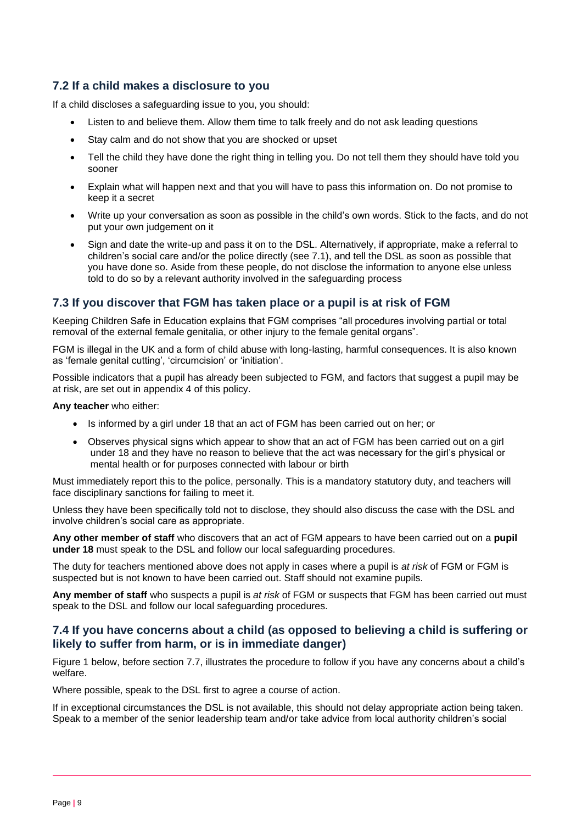## **7.2 If a child makes a disclosure to you**

If a child discloses a safeguarding issue to you, you should:

- Listen to and believe them. Allow them time to talk freely and do not ask leading questions
- Stay calm and do not show that you are shocked or upset
- Tell the child they have done the right thing in telling you. Do not tell them they should have told you sooner
- Explain what will happen next and that you will have to pass this information on. Do not promise to keep it a secret
- Write up your conversation as soon as possible in the child's own words. Stick to the facts, and do not put your own judgement on it
- Sign and date the write-up and pass it on to the DSL. Alternatively, if appropriate, make a referral to children's social care and/or the police directly (see 7.1), and tell the DSL as soon as possible that you have done so. Aside from these people, do not disclose the information to anyone else unless told to do so by a relevant authority involved in the safeguarding process

## **7.3 If you discover that FGM has taken place or a pupil is at risk of FGM**

Keeping Children Safe in Education explains that FGM comprises "all procedures involving partial or total removal of the external female genitalia, or other injury to the female genital organs".

FGM is illegal in the UK and a form of child abuse with long-lasting, harmful consequences. It is also known as 'female genital cutting', 'circumcision' or 'initiation'.

Possible indicators that a pupil has already been subjected to FGM, and factors that suggest a pupil may be at risk, are set out in appendix 4 of this policy.

**Any teacher** who either:

- Is informed by a girl under 18 that an act of FGM has been carried out on her; or
- Observes physical signs which appear to show that an act of FGM has been carried out on a girl under 18 and they have no reason to believe that the act was necessary for the girl's physical or mental health or for purposes connected with labour or birth

Must immediately report this to the police, personally. This is a mandatory statutory duty, and teachers will face disciplinary sanctions for failing to meet it.

Unless they have been specifically told not to disclose, they should also discuss the case with the DSL and involve children's social care as appropriate.

**Any other member of staff** who discovers that an act of FGM appears to have been carried out on a **pupil under 18** must speak to the DSL and follow our local safeguarding procedures.

The duty for teachers mentioned above does not apply in cases where a pupil is *at risk* of FGM or FGM is suspected but is not known to have been carried out. Staff should not examine pupils.

**Any member of staff** who suspects a pupil is *at risk* of FGM or suspects that FGM has been carried out must speak to the DSL and follow our local safeguarding procedures.

## **7.4 If you have concerns about a child (as opposed to believing a child is suffering or likely to suffer from harm, or is in immediate danger)**

Figure 1 below, before section 7.7, illustrates the procedure to follow if you have any concerns about a child's welfare.

Where possible, speak to the DSL first to agree a course of action.

If in exceptional circumstances the DSL is not available, this should not delay appropriate action being taken. Speak to a member of the senior leadership team and/or take advice from local authority children's social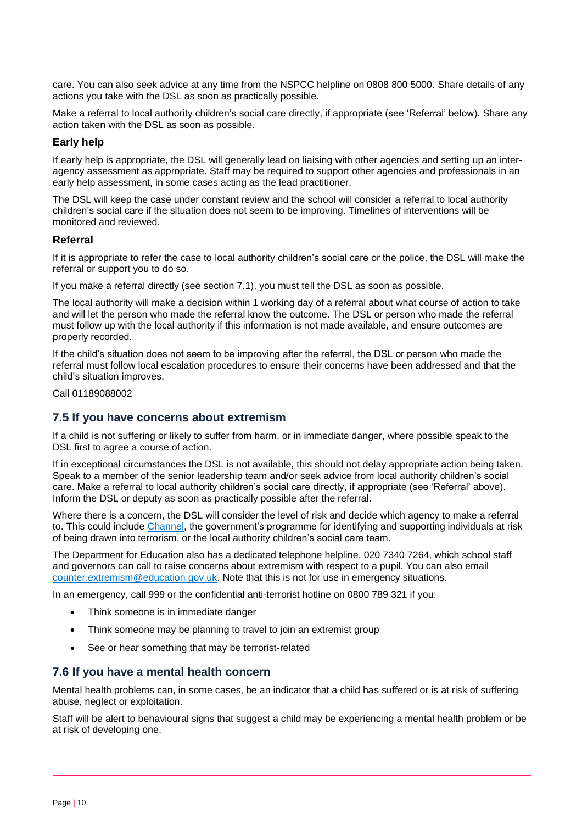care. You can also seek advice at any time from the NSPCC helpline on 0808 800 5000. Share details of any actions you take with the DSL as soon as practically possible.

Make a referral to local authority children's social care directly, if appropriate (see 'Referral' below). Share any action taken with the DSL as soon as possible.

### **Early help**

If early help is appropriate, the DSL will generally lead on liaising with other agencies and setting up an interagency assessment as appropriate. Staff may be required to support other agencies and professionals in an early help assessment, in some cases acting as the lead practitioner.

The DSL will keep the case under constant review and the school will consider a referral to local authority children's social care if the situation does not seem to be improving. Timelines of interventions will be monitored and reviewed.

#### **Referral**

If it is appropriate to refer the case to local authority children's social care or the police, the DSL will make the referral or support you to do so.

If you make a referral directly (see section 7.1), you must tell the DSL as soon as possible.

The local authority will make a decision within 1 working day of a referral about what course of action to take and will let the person who made the referral know the outcome. The DSL or person who made the referral must follow up with the local authority if this information is not made available, and ensure outcomes are properly recorded.

If the child's situation does not seem to be improving after the referral, the DSL or person who made the referral must follow local escalation procedures to ensure their concerns have been addressed and that the child's situation improves.

Call 01189088002

## **7.5 If you have concerns about extremism**

If a child is not suffering or likely to suffer from harm, or in immediate danger, where possible speak to the DSL first to agree a course of action.

If in exceptional circumstances the DSL is not available, this should not delay appropriate action being taken. Speak to a member of the senior leadership team and/or seek advice from local authority children's social care. Make a referral to local authority children's social care directly, if appropriate (see 'Referral' above). Inform the DSL or deputy as soon as practically possible after the referral.

Where there is a concern, the DSL will consider the level of risk and decide which agency to make a referral to. This could include [Channel,](https://www.gov.uk/government/publications/channel-guidance) the government's programme for identifying and supporting individuals at risk of being drawn into terrorism, or the local authority children's social care team.

The Department for Education also has a dedicated telephone helpline, 020 7340 7264, which school staff and governors can call to raise concerns about extremism with respect to a pupil. You can also email [counter.extremism@education.gov.uk.](mailto:counter.extremism@education.gov.uk) Note that this is not for use in emergency situations.

In an emergency, call 999 or the confidential anti-terrorist hotline on 0800 789 321 if you:

- Think someone is in immediate danger
- Think someone may be planning to travel to join an extremist group
- See or hear something that may be terrorist-related

#### **7.6 If you have a mental health concern**

Mental health problems can, in some cases, be an indicator that a child has suffered or is at risk of suffering abuse, neglect or exploitation.

Staff will be alert to behavioural signs that suggest a child may be experiencing a mental health problem or be at risk of developing one.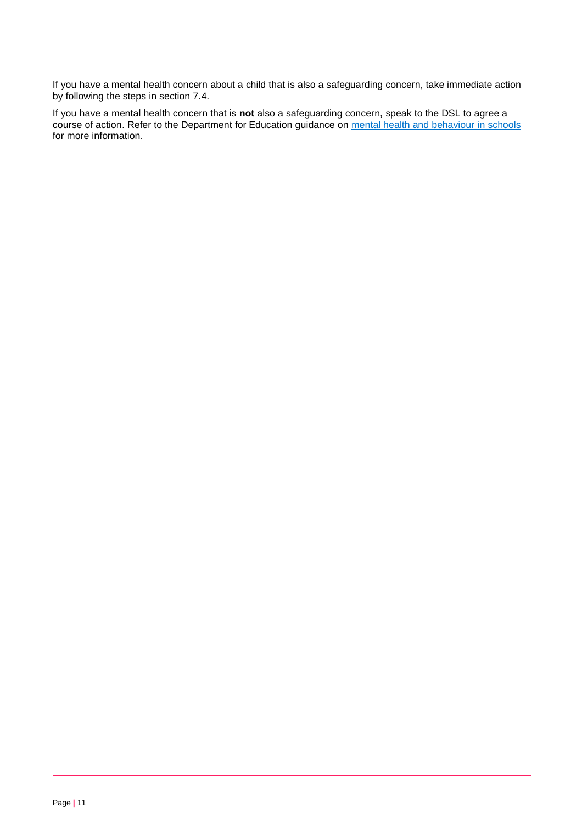If you have a mental health concern about a child that is also a safeguarding concern, take immediate action by following the steps in section 7.4.

If you have a mental health concern that is **not** also a safeguarding concern, speak to the DSL to agree a course of action. Refer to the Department for Education guidance on [mental health and behaviour in schools](https://www.gov.uk/government/publications/mental-health-and-behaviour-in-schools--2) for more information.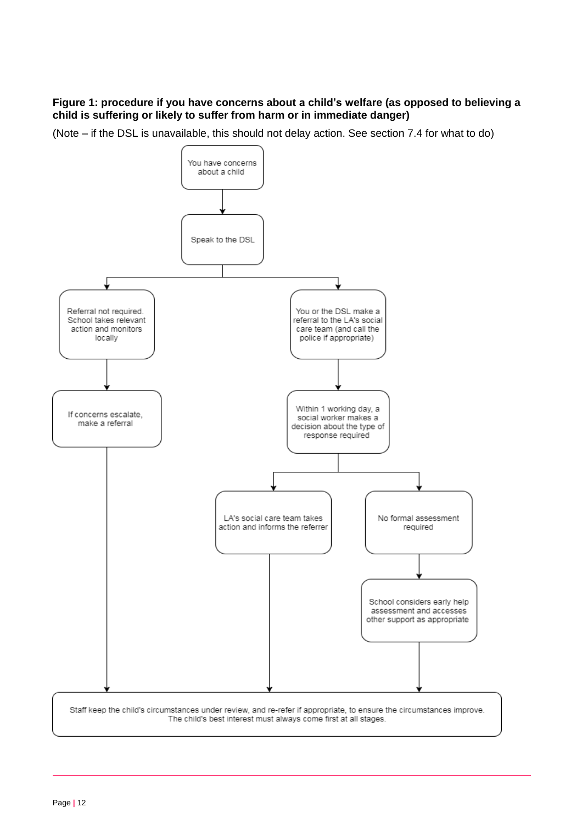## **Figure 1: procedure if you have concerns about a child's welfare (as opposed to believing a child is suffering or likely to suffer from harm or in immediate danger)**

(Note – if the DSL is unavailable, this should not delay action. See section 7.4 for what to do)

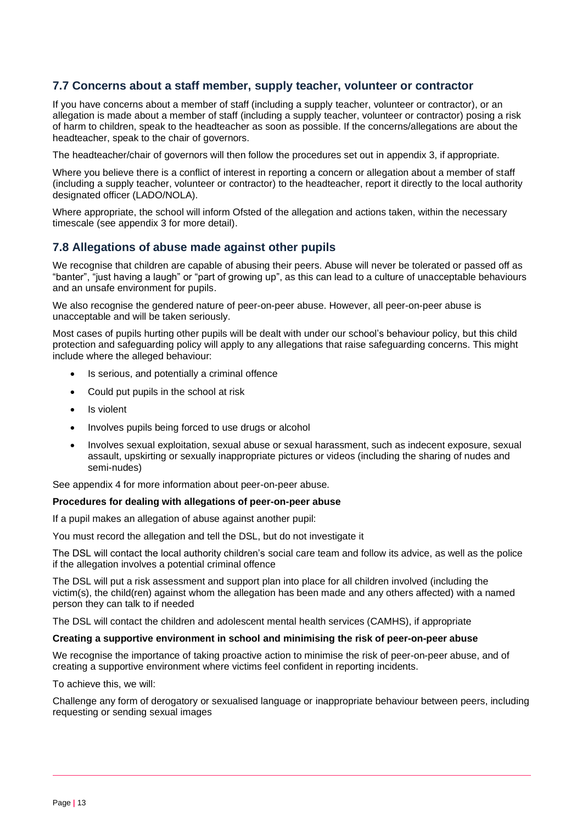## **7.7 Concerns about a staff member, supply teacher, volunteer or contractor**

If you have concerns about a member of staff (including a supply teacher, volunteer or contractor), or an allegation is made about a member of staff (including a supply teacher, volunteer or contractor) posing a risk of harm to children, speak to the headteacher as soon as possible. If the concerns/allegations are about the headteacher, speak to the chair of governors.

The headteacher/chair of governors will then follow the procedures set out in appendix 3, if appropriate.

Where you believe there is a conflict of interest in reporting a concern or allegation about a member of staff (including a supply teacher, volunteer or contractor) to the headteacher, report it directly to the local authority designated officer (LADO/NOLA).

Where appropriate, the school will inform Ofsted of the allegation and actions taken, within the necessary timescale (see appendix 3 for more detail).

### **7.8 Allegations of abuse made against other pupils**

We recognise that children are capable of abusing their peers. Abuse will never be tolerated or passed off as "banter", "just having a laugh" or "part of growing up", as this can lead to a culture of unacceptable behaviours and an unsafe environment for pupils.

We also recognise the gendered nature of peer-on-peer abuse. However, all peer-on-peer abuse is unacceptable and will be taken seriously.

Most cases of pupils hurting other pupils will be dealt with under our school's behaviour policy, but this child protection and safeguarding policy will apply to any allegations that raise safeguarding concerns. This might include where the alleged behaviour:

- Is serious, and potentially a criminal offence
- Could put pupils in the school at risk
- Is violent
- Involves pupils being forced to use drugs or alcohol
- Involves sexual exploitation, sexual abuse or sexual harassment, such as indecent exposure, sexual assault, upskirting or sexually inappropriate pictures or videos (including the sharing of nudes and semi-nudes)

See appendix 4 for more information about peer-on-peer abuse.

#### **Procedures for dealing with allegations of peer-on-peer abuse**

If a pupil makes an allegation of abuse against another pupil:

You must record the allegation and tell the DSL, but do not investigate it

The DSL will contact the local authority children's social care team and follow its advice, as well as the police if the allegation involves a potential criminal offence

The DSL will put a risk assessment and support plan into place for all children involved (including the victim(s), the child(ren) against whom the allegation has been made and any others affected) with a named person they can talk to if needed

The DSL will contact the children and adolescent mental health services (CAMHS), if appropriate

#### **Creating a supportive environment in school and minimising the risk of peer-on-peer abuse**

We recognise the importance of taking proactive action to minimise the risk of peer-on-peer abuse, and of creating a supportive environment where victims feel confident in reporting incidents.

To achieve this, we will:

Challenge any form of derogatory or sexualised language or inappropriate behaviour between peers, including requesting or sending sexual images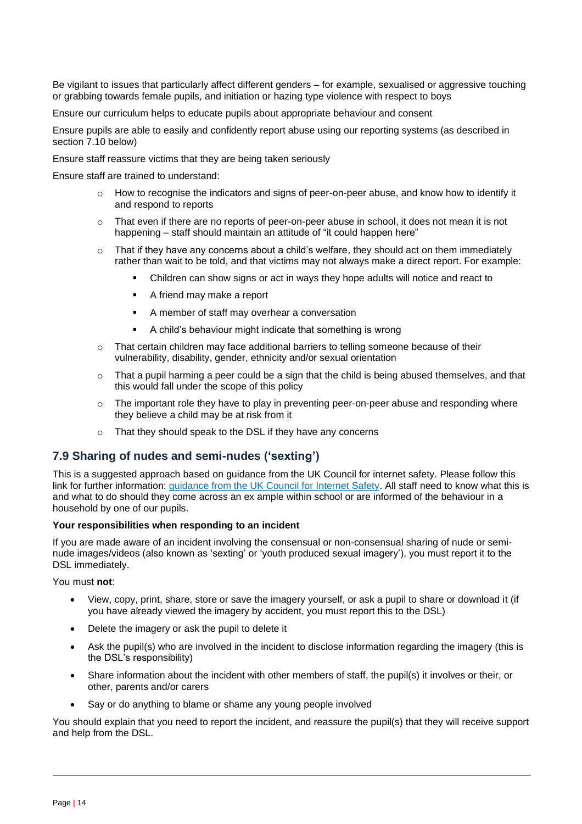Be vigilant to issues that particularly affect different genders – for example, sexualised or aggressive touching or grabbing towards female pupils, and initiation or hazing type violence with respect to boys

Ensure our curriculum helps to educate pupils about appropriate behaviour and consent

Ensure pupils are able to easily and confidently report abuse using our reporting systems (as described in section 7.10 below)

Ensure staff reassure victims that they are being taken seriously

Ensure staff are trained to understand:

- $\circ$  How to recognise the indicators and signs of peer-on-peer abuse, and know how to identify it and respond to reports
- $\circ$  That even if there are no reports of peer-on-peer abuse in school, it does not mean it is not happening – staff should maintain an attitude of "it could happen here"
- $\circ$  That if they have any concerns about a child's welfare, they should act on them immediately rather than wait to be told, and that victims may not always make a direct report. For example:
	- Children can show signs or act in ways they hope adults will notice and react to
	- A friend may make a report
	- A member of staff may overhear a conversation
	- A child's behaviour might indicate that something is wrong
- $\circ$  That certain children may face additional barriers to telling someone because of their vulnerability, disability, gender, ethnicity and/or sexual orientation
- $\circ$  That a pupil harming a peer could be a sign that the child is being abused themselves, and that this would fall under the scope of this policy
- $\circ$  The important role they have to play in preventing peer-on-peer abuse and responding where they believe a child may be at risk from it
- o That they should speak to the DSL if they have any concerns

## **7.9 Sharing of nudes and semi-nudes ('sexting')**

This is a suggested approach based on guidance from the UK Council for internet safety. Please follow this link for further information: [guidance from the UK Council for Internet Safety.](https://www.gov.uk/government/publications/sharing-nudes-and-semi-nudes-advice-for-education-settings-working-with-children-and-young-people) All staff need to know what this is and what to do should they come across an ex ample within school or are informed of the behaviour in a household by one of our pupils.

#### **Your responsibilities when responding to an incident**

If you are made aware of an incident involving the consensual or non-consensual sharing of nude or seminude images/videos (also known as 'sexting' or 'youth produced sexual imagery'), you must report it to the DSL immediately.

You must **not**:

- View, copy, print, share, store or save the imagery yourself, or ask a pupil to share or download it (if you have already viewed the imagery by accident, you must report this to the DSL)
- Delete the imagery or ask the pupil to delete it
- Ask the pupil(s) who are involved in the incident to disclose information regarding the imagery (this is the DSL's responsibility)
- Share information about the incident with other members of staff, the pupil(s) it involves or their, or other, parents and/or carers
- Say or do anything to blame or shame any young people involved

You should explain that you need to report the incident, and reassure the pupil(s) that they will receive support and help from the DSL.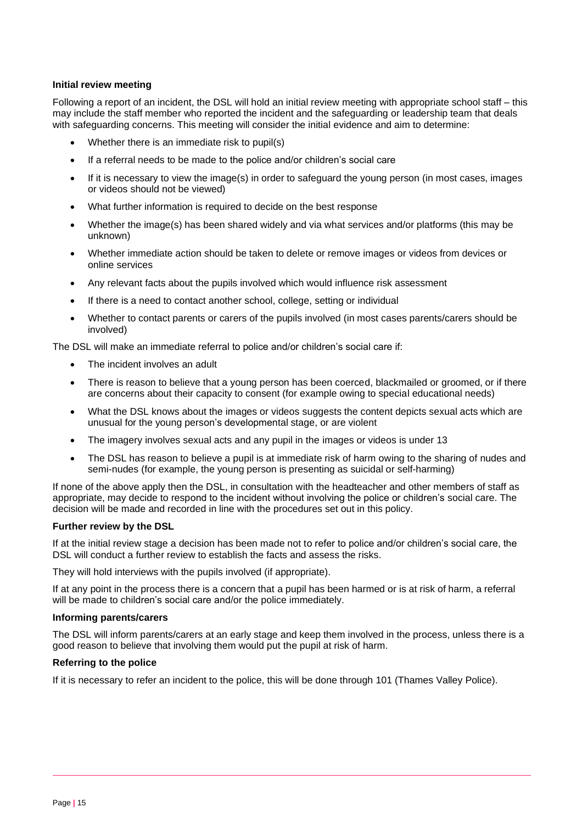#### **Initial review meeting**

Following a report of an incident, the DSL will hold an initial review meeting with appropriate school staff – this may include the staff member who reported the incident and the safeguarding or leadership team that deals with safeguarding concerns. This meeting will consider the initial evidence and aim to determine:

- Whether there is an immediate risk to pupil(s)
- If a referral needs to be made to the police and/or children's social care
- If it is necessary to view the image(s) in order to safeguard the young person (in most cases, images or videos should not be viewed)
- What further information is required to decide on the best response
- Whether the image(s) has been shared widely and via what services and/or platforms (this may be unknown)
- Whether immediate action should be taken to delete or remove images or videos from devices or online services
- Any relevant facts about the pupils involved which would influence risk assessment
- If there is a need to contact another school, college, setting or individual
- Whether to contact parents or carers of the pupils involved (in most cases parents/carers should be involved)

The DSL will make an immediate referral to police and/or children's social care if:

- The incident involves an adult
- There is reason to believe that a young person has been coerced, blackmailed or groomed, or if there are concerns about their capacity to consent (for example owing to special educational needs)
- What the DSL knows about the images or videos suggests the content depicts sexual acts which are unusual for the young person's developmental stage, or are violent
- The imagery involves sexual acts and any pupil in the images or videos is under 13
- The DSL has reason to believe a pupil is at immediate risk of harm owing to the sharing of nudes and semi-nudes (for example, the young person is presenting as suicidal or self-harming)

If none of the above apply then the DSL, in consultation with the headteacher and other members of staff as appropriate, may decide to respond to the incident without involving the police or children's social care. The decision will be made and recorded in line with the procedures set out in this policy.

#### **Further review by the DSL**

If at the initial review stage a decision has been made not to refer to police and/or children's social care, the DSL will conduct a further review to establish the facts and assess the risks.

They will hold interviews with the pupils involved (if appropriate).

If at any point in the process there is a concern that a pupil has been harmed or is at risk of harm, a referral will be made to children's social care and/or the police immediately.

#### **Informing parents/carers**

The DSL will inform parents/carers at an early stage and keep them involved in the process, unless there is a good reason to believe that involving them would put the pupil at risk of harm.

#### **Referring to the police**

If it is necessary to refer an incident to the police, this will be done through 101 (Thames Valley Police).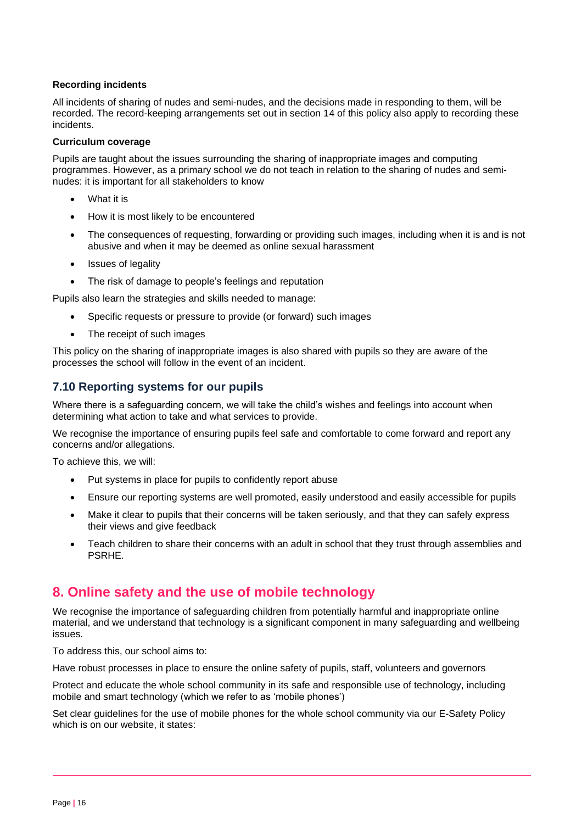#### **Recording incidents**

All incidents of sharing of nudes and semi-nudes, and the decisions made in responding to them, will be recorded. The record-keeping arrangements set out in section 14 of this policy also apply to recording these incidents.

#### **Curriculum coverage**

Pupils are taught about the issues surrounding the sharing of inappropriate images and computing programmes. However, as a primary school we do not teach in relation to the sharing of nudes and seminudes: it is important for all stakeholders to know

- What it is
- How it is most likely to be encountered
- The consequences of requesting, forwarding or providing such images, including when it is and is not abusive and when it may be deemed as online sexual harassment
- Issues of legality
- The risk of damage to people's feelings and reputation

Pupils also learn the strategies and skills needed to manage:

- Specific requests or pressure to provide (or forward) such images
- The receipt of such images

This policy on the sharing of inappropriate images is also shared with pupils so they are aware of the processes the school will follow in the event of an incident.

## **7.10 Reporting systems for our pupils**

Where there is a safeguarding concern, we will take the child's wishes and feelings into account when determining what action to take and what services to provide.

We recognise the importance of ensuring pupils feel safe and comfortable to come forward and report any concerns and/or allegations.

To achieve this, we will:

- Put systems in place for pupils to confidently report abuse
- Ensure our reporting systems are well promoted, easily understood and easily accessible for pupils
- Make it clear to pupils that their concerns will be taken seriously, and that they can safely express their views and give feedback
- Teach children to share their concerns with an adult in school that they trust through assemblies and PSRHE.

# **8. Online safety and the use of mobile technology**

We recognise the importance of safeguarding children from potentially harmful and inappropriate online material, and we understand that technology is a significant component in many safeguarding and wellbeing issues.

To address this, our school aims to:

Have robust processes in place to ensure the online safety of pupils, staff, volunteers and governors

Protect and educate the whole school community in its safe and responsible use of technology, including mobile and smart technology (which we refer to as 'mobile phones')

Set clear guidelines for the use of mobile phones for the whole school community via our E-Safety Policy which is on our website, it states: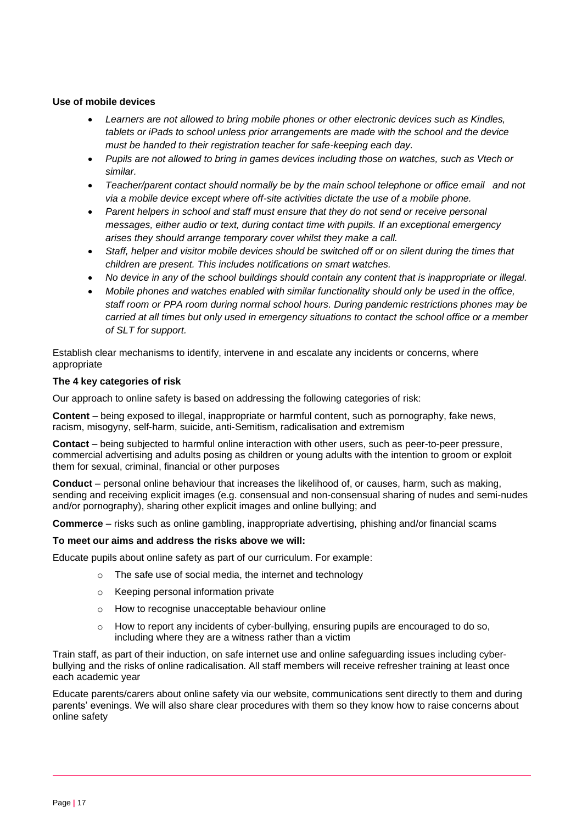#### **Use of mobile devices**

- *Learners are not allowed to bring mobile phones or other electronic devices such as Kindles, tablets or iPads to school unless prior arrangements are made with the school and the device must be handed to their registration teacher for safe-keeping each day.*
- *Pupils are not allowed to bring in games devices including those on watches, such as Vtech or similar.*
- *Teacher/parent contact should normally be by the main school telephone or office email and not via a mobile device except where off-site activities dictate the use of a mobile phone.*
- *Parent helpers in school and staff must ensure that they do not send or receive personal messages, either audio or text, during contact time with pupils. If an exceptional emergency arises they should arrange temporary cover whilst they make a call.*
- *Staff, helper and visitor mobile devices should be switched off or on silent during the times that children are present. This includes notifications on smart watches.*
- *No device in any of the school buildings should contain any content that is inappropriate or illegal.*
- *Mobile phones and watches enabled with similar functionality should only be used in the office, staff room or PPA room during normal school hours. During pandemic restrictions phones may be carried at all times but only used in emergency situations to contact the school office or a member of SLT for support.*

Establish clear mechanisms to identify, intervene in and escalate any incidents or concerns, where appropriate

#### **The 4 key categories of risk**

Our approach to online safety is based on addressing the following categories of risk:

**Content** – being exposed to illegal, inappropriate or harmful content, such as pornography, fake news, racism, misogyny, self-harm, suicide, anti-Semitism, radicalisation and extremism

**Contact** – being subjected to harmful online interaction with other users, such as peer-to-peer pressure, commercial advertising and adults posing as children or young adults with the intention to groom or exploit them for sexual, criminal, financial or other purposes

**Conduct** – personal online behaviour that increases the likelihood of, or causes, harm, such as making, sending and receiving explicit images (e.g. consensual and non-consensual sharing of nudes and semi-nudes and/or pornography), sharing other explicit images and online bullying; and

**Commerce** – risks such as online gambling, inappropriate advertising, phishing and/or financial scams

#### **To meet our aims and address the risks above we will:**

Educate pupils about online safety as part of our curriculum. For example:

- o The safe use of social media, the internet and technology
	- o Keeping personal information private
	- o How to recognise unacceptable behaviour online
	- $\circ$  How to report any incidents of cyber-bullying, ensuring pupils are encouraged to do so, including where they are a witness rather than a victim

Train staff, as part of their induction, on safe internet use and online safeguarding issues including cyberbullying and the risks of online radicalisation. All staff members will receive refresher training at least once each academic year

Educate parents/carers about online safety via our website, communications sent directly to them and during parents' evenings. We will also share clear procedures with them so they know how to raise concerns about online safety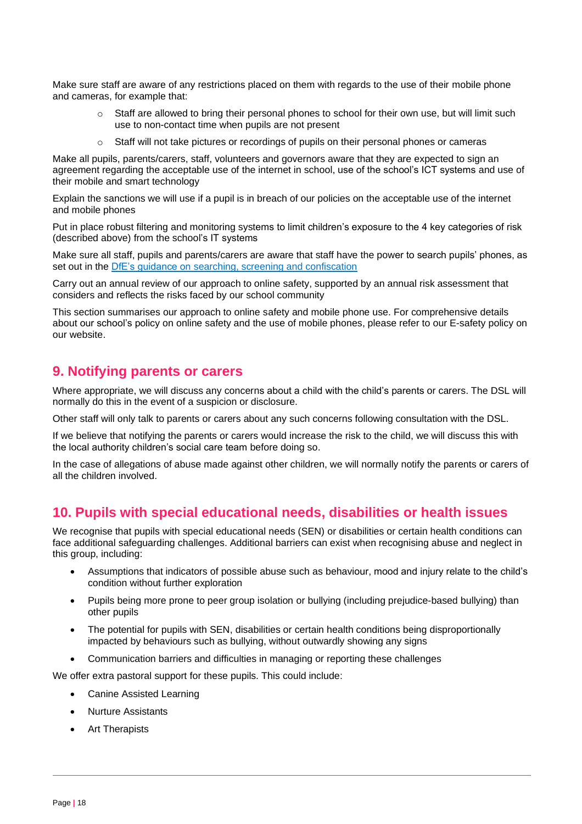Make sure staff are aware of any restrictions placed on them with regards to the use of their mobile phone and cameras, for example that:

- o Staff are allowed to bring their personal phones to school for their own use, but will limit such use to non-contact time when pupils are not present
- $\circ$  Staff will not take pictures or recordings of pupils on their personal phones or cameras

Make all pupils, parents/carers, staff, volunteers and governors aware that they are expected to sign an agreement regarding the acceptable use of the internet in school, use of the school's ICT systems and use of their mobile and smart technology

Explain the sanctions we will use if a pupil is in breach of our policies on the acceptable use of the internet and mobile phones

Put in place robust filtering and monitoring systems to limit children's exposure to the 4 key categories of risk (described above) from the school's IT systems

Make sure all staff, pupils and parents/carers are aware that staff have the power to search pupils' phones, as set out in the [DfE's guidance on searching, screening and confiscation](https://www.gov.uk/government/publications/searching-screening-and-confiscation)

Carry out an annual review of our approach to online safety, supported by an annual risk assessment that considers and reflects the risks faced by our school community

This section summarises our approach to online safety and mobile phone use. For comprehensive details about our school's policy on online safety and the use of mobile phones, please refer to our E-safety policy on our website.

## **9. Notifying parents or carers**

Where appropriate, we will discuss any concerns about a child with the child's parents or carers. The DSL will normally do this in the event of a suspicion or disclosure.

Other staff will only talk to parents or carers about any such concerns following consultation with the DSL.

If we believe that notifying the parents or carers would increase the risk to the child, we will discuss this with the local authority children's social care team before doing so.

In the case of allegations of abuse made against other children, we will normally notify the parents or carers of all the children involved.

## **10. Pupils with special educational needs, disabilities or health issues**

We recognise that pupils with special educational needs (SEN) or disabilities or certain health conditions can face additional safeguarding challenges. Additional barriers can exist when recognising abuse and neglect in this group, including:

- Assumptions that indicators of possible abuse such as behaviour, mood and injury relate to the child's condition without further exploration
- Pupils being more prone to peer group isolation or bullying (including prejudice-based bullying) than other pupils
- The potential for pupils with SEN, disabilities or certain health conditions being disproportionally impacted by behaviours such as bullying, without outwardly showing any signs
- Communication barriers and difficulties in managing or reporting these challenges

We offer extra pastoral support for these pupils. This could include:

- Canine Assisted Learning
- Nurture Assistants
- Art Therapists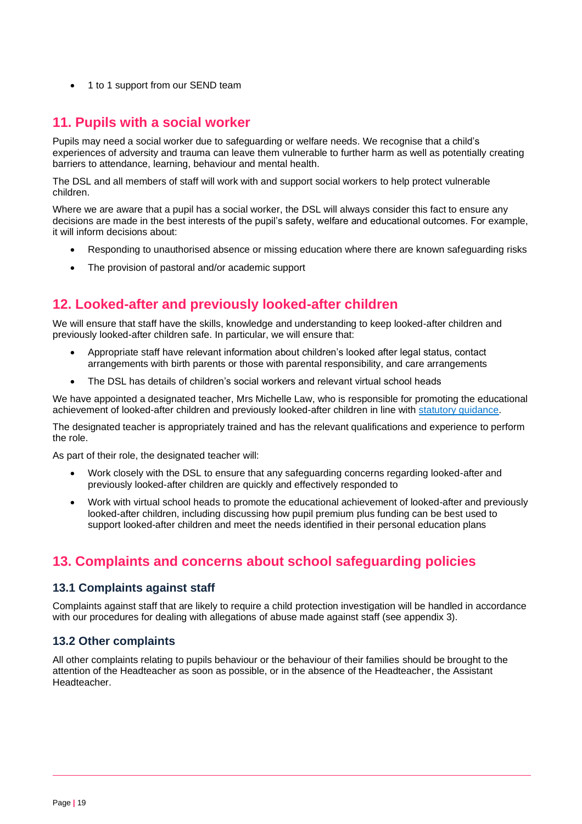• 1 to 1 support from our SEND team

## **11. Pupils with a social worker**

Pupils may need a social worker due to safeguarding or welfare needs. We recognise that a child's experiences of adversity and trauma can leave them vulnerable to further harm as well as potentially creating barriers to attendance, learning, behaviour and mental health.

The DSL and all members of staff will work with and support social workers to help protect vulnerable children.

Where we are aware that a pupil has a social worker, the DSL will always consider this fact to ensure any decisions are made in the best interests of the pupil's safety, welfare and educational outcomes. For example, it will inform decisions about:

- Responding to unauthorised absence or missing education where there are known safeguarding risks
- The provision of pastoral and/or academic support

# **12. Looked-after and previously looked-after children**

We will ensure that staff have the skills, knowledge and understanding to keep looked-after children and previously looked-after children safe. In particular, we will ensure that:

- Appropriate staff have relevant information about children's looked after legal status, contact arrangements with birth parents or those with parental responsibility, and care arrangements
- The DSL has details of children's social workers and relevant virtual school heads

We have appointed a designated teacher, Mrs Michelle Law, who is responsible for promoting the educational achievement of looked-after children and previously looked-after children in line with [statutory guidance.](https://www.gov.uk/government/publications/designated-teacher-for-looked-after-children)

The designated teacher is appropriately trained and has the relevant qualifications and experience to perform the role.

As part of their role, the designated teacher will:

- Work closely with the DSL to ensure that any safeguarding concerns regarding looked-after and previously looked-after children are quickly and effectively responded to
- Work with virtual school heads to promote the educational achievement of looked-after and previously looked-after children, including discussing how pupil premium plus funding can be best used to support looked-after children and meet the needs identified in their personal education plans

# **13. Complaints and concerns about school safeguarding policies**

## **13.1 Complaints against staff**

Complaints against staff that are likely to require a child protection investigation will be handled in accordance with our procedures for dealing with allegations of abuse made against staff (see appendix 3).

## **13.2 Other complaints**

All other complaints relating to pupils behaviour or the behaviour of their families should be brought to the attention of the Headteacher as soon as possible, or in the absence of the Headteacher, the Assistant Headteacher.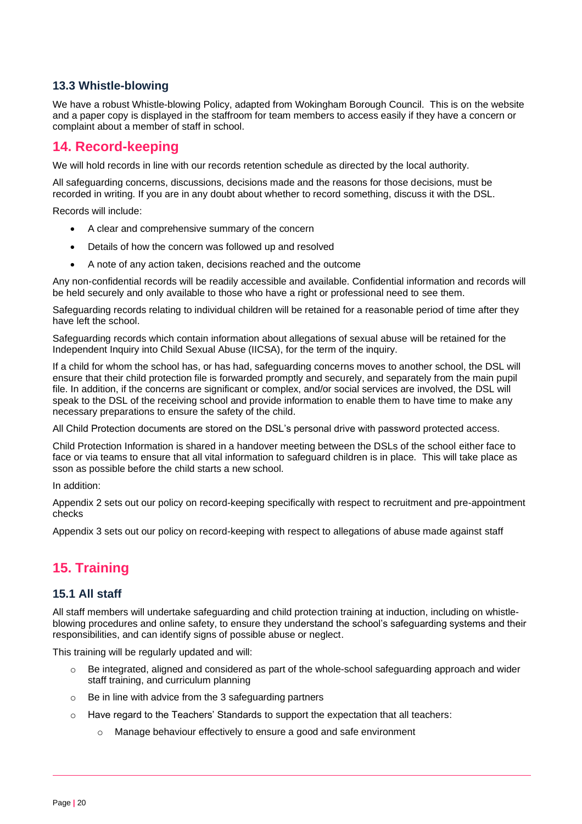## **13.3 Whistle-blowing**

We have a robust Whistle-blowing Policy, adapted from Wokingham Borough Council. This is on the website and a paper copy is displayed in the staffroom for team members to access easily if they have a concern or complaint about a member of staff in school.

# **14. Record-keeping**

We will hold records in line with our records retention schedule as directed by the local authority.

All safeguarding concerns, discussions, decisions made and the reasons for those decisions, must be recorded in writing. If you are in any doubt about whether to record something, discuss it with the DSL.

Records will include:

- A clear and comprehensive summary of the concern
- Details of how the concern was followed up and resolved
- A note of any action taken, decisions reached and the outcome

Any non-confidential records will be readily accessible and available. Confidential information and records will be held securely and only available to those who have a right or professional need to see them.

Safeguarding records relating to individual children will be retained for a reasonable period of time after they have left the school.

Safeguarding records which contain information about allegations of sexual abuse will be retained for the Independent Inquiry into Child Sexual Abuse (IICSA), for the term of the inquiry.

If a child for whom the school has, or has had, safeguarding concerns moves to another school, the DSL will ensure that their child protection file is forwarded promptly and securely, and separately from the main pupil file. In addition, if the concerns are significant or complex, and/or social services are involved, the DSL will speak to the DSL of the receiving school and provide information to enable them to have time to make any necessary preparations to ensure the safety of the child.

All Child Protection documents are stored on the DSL's personal drive with password protected access.

Child Protection Information is shared in a handover meeting between the DSLs of the school either face to face or via teams to ensure that all vital information to safeguard children is in place. This will take place as sson as possible before the child starts a new school.

In addition:

Appendix 2 sets out our policy on record-keeping specifically with respect to recruitment and pre-appointment checks

Appendix 3 sets out our policy on record-keeping with respect to allegations of abuse made against staff

# **15. Training**

## **15.1 All staff**

All staff members will undertake safeguarding and child protection training at induction, including on whistleblowing procedures and online safety, to ensure they understand the school's safeguarding systems and their responsibilities, and can identify signs of possible abuse or neglect.

This training will be regularly updated and will:

- o Be integrated, aligned and considered as part of the whole-school safeguarding approach and wider staff training, and curriculum planning
- $\circ$  Be in line with advice from the 3 safeguarding partners
- $\circ$  Have regard to the Teachers' Standards to support the expectation that all teachers:
	- o Manage behaviour effectively to ensure a good and safe environment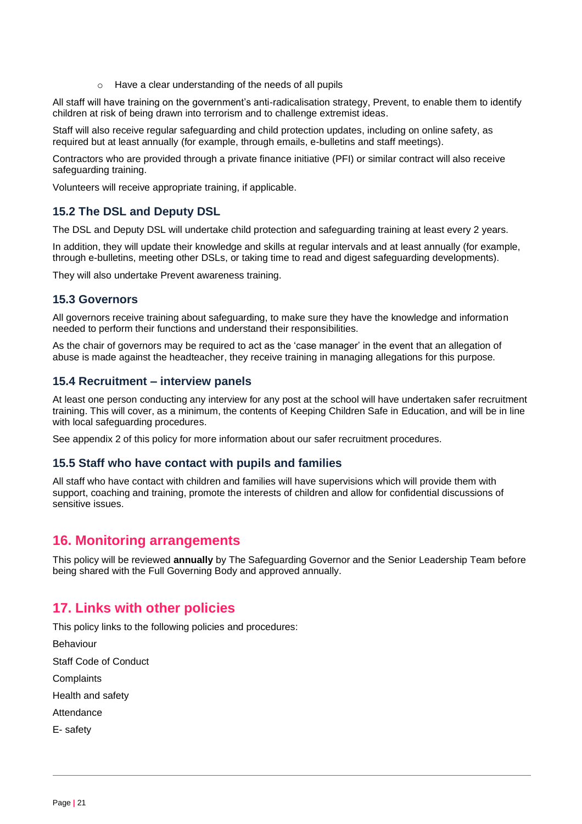o Have a clear understanding of the needs of all pupils

All staff will have training on the government's anti-radicalisation strategy, Prevent, to enable them to identify children at risk of being drawn into terrorism and to challenge extremist ideas.

Staff will also receive regular safeguarding and child protection updates, including on online safety, as required but at least annually (for example, through emails, e-bulletins and staff meetings).

Contractors who are provided through a private finance initiative (PFI) or similar contract will also receive safeguarding training.

Volunteers will receive appropriate training, if applicable.

## **15.2 The DSL and Deputy DSL**

The DSL and Deputy DSL will undertake child protection and safeguarding training at least every 2 years.

In addition, they will update their knowledge and skills at regular intervals and at least annually (for example, through e-bulletins, meeting other DSLs, or taking time to read and digest safeguarding developments).

They will also undertake Prevent awareness training.

## **15.3 Governors**

All governors receive training about safeguarding, to make sure they have the knowledge and information needed to perform their functions and understand their responsibilities.

As the chair of governors may be required to act as the 'case manager' in the event that an allegation of abuse is made against the headteacher, they receive training in managing allegations for this purpose.

## **15.4 Recruitment – interview panels**

At least one person conducting any interview for any post at the school will have undertaken safer recruitment training. This will cover, as a minimum, the contents of Keeping Children Safe in Education, and will be in line with local safeguarding procedures.

See appendix 2 of this policy for more information about our safer recruitment procedures.

## **15.5 Staff who have contact with pupils and families**

All staff who have contact with children and families will have supervisions which will provide them with support, coaching and training, promote the interests of children and allow for confidential discussions of sensitive issues.

## **16. Monitoring arrangements**

This policy will be reviewed **annually** by The Safeguarding Governor and the Senior Leadership Team before being shared with the Full Governing Body and approved annually.

# **17. Links with other policies**

This policy links to the following policies and procedures:

Behaviour

Staff Code of Conduct

**Complaints** 

Health and safety

Attendance

E- safety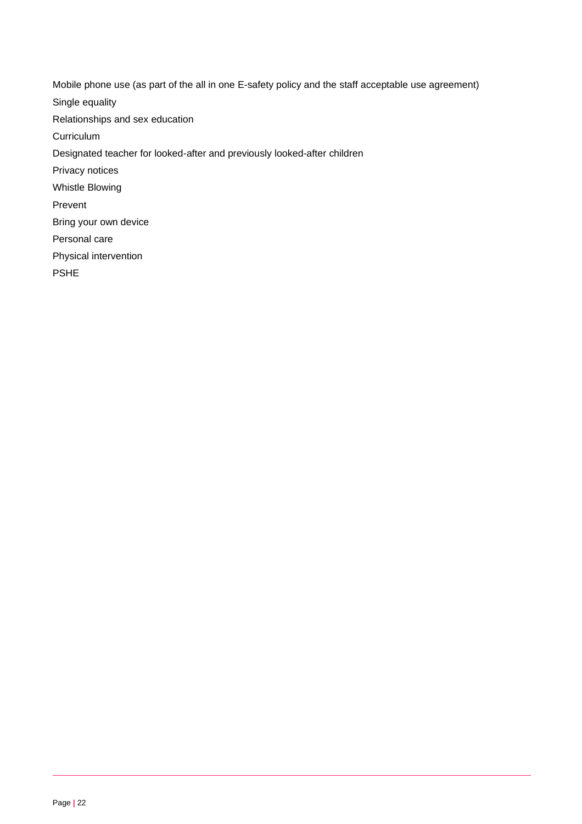Mobile phone use (as part of the all in one E-safety policy and the staff acceptable use agreement) Single equality Relationships and sex education **Curriculum** Designated teacher for looked-after and previously looked-after children Privacy notices Whistle Blowing Prevent Bring your own device Personal care Physical intervention PSHE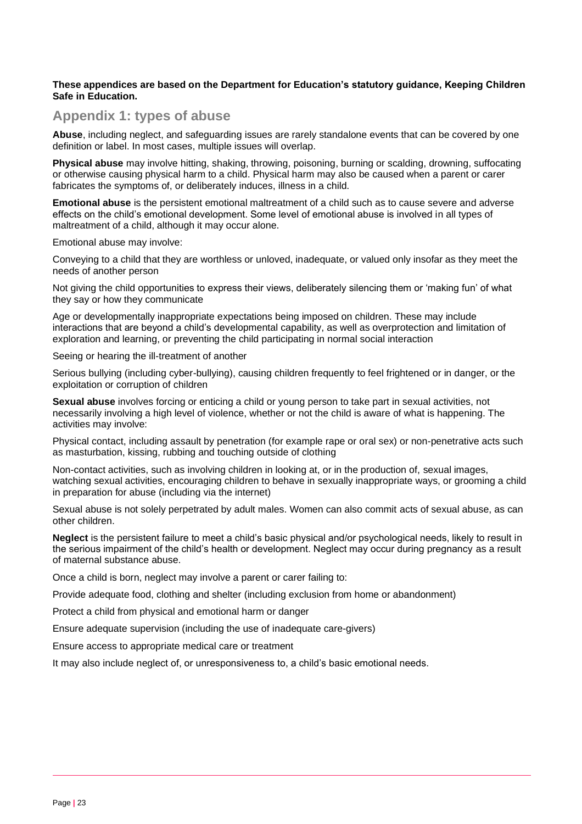#### **These appendices are based on the Department for Education's statutory guidance, Keeping Children Safe in Education.**

## **Appendix 1: types of abuse**

**Abuse**, including neglect, and safeguarding issues are rarely standalone events that can be covered by one definition or label. In most cases, multiple issues will overlap.

**Physical abuse** may involve hitting, shaking, throwing, poisoning, burning or scalding, drowning, suffocating or otherwise causing physical harm to a child. Physical harm may also be caused when a parent or carer fabricates the symptoms of, or deliberately induces, illness in a child.

**Emotional abuse** is the persistent emotional maltreatment of a child such as to cause severe and adverse effects on the child's emotional development. Some level of emotional abuse is involved in all types of maltreatment of a child, although it may occur alone.

Emotional abuse may involve:

Conveying to a child that they are worthless or unloved, inadequate, or valued only insofar as they meet the needs of another person

Not giving the child opportunities to express their views, deliberately silencing them or 'making fun' of what they say or how they communicate

Age or developmentally inappropriate expectations being imposed on children. These may include interactions that are beyond a child's developmental capability, as well as overprotection and limitation of exploration and learning, or preventing the child participating in normal social interaction

Seeing or hearing the ill-treatment of another

Serious bullying (including cyber-bullying), causing children frequently to feel frightened or in danger, or the exploitation or corruption of children

**Sexual abuse** involves forcing or enticing a child or young person to take part in sexual activities, not necessarily involving a high level of violence, whether or not the child is aware of what is happening. The activities may involve:

Physical contact, including assault by penetration (for example rape or oral sex) or non-penetrative acts such as masturbation, kissing, rubbing and touching outside of clothing

Non-contact activities, such as involving children in looking at, or in the production of, sexual images, watching sexual activities, encouraging children to behave in sexually inappropriate ways, or grooming a child in preparation for abuse (including via the internet)

Sexual abuse is not solely perpetrated by adult males. Women can also commit acts of sexual abuse, as can other children.

**Neglect** is the persistent failure to meet a child's basic physical and/or psychological needs, likely to result in the serious impairment of the child's health or development. Neglect may occur during pregnancy as a result of maternal substance abuse.

Once a child is born, neglect may involve a parent or carer failing to:

Provide adequate food, clothing and shelter (including exclusion from home or abandonment)

Protect a child from physical and emotional harm or danger

Ensure adequate supervision (including the use of inadequate care-givers)

Ensure access to appropriate medical care or treatment

It may also include neglect of, or unresponsiveness to, a child's basic emotional needs.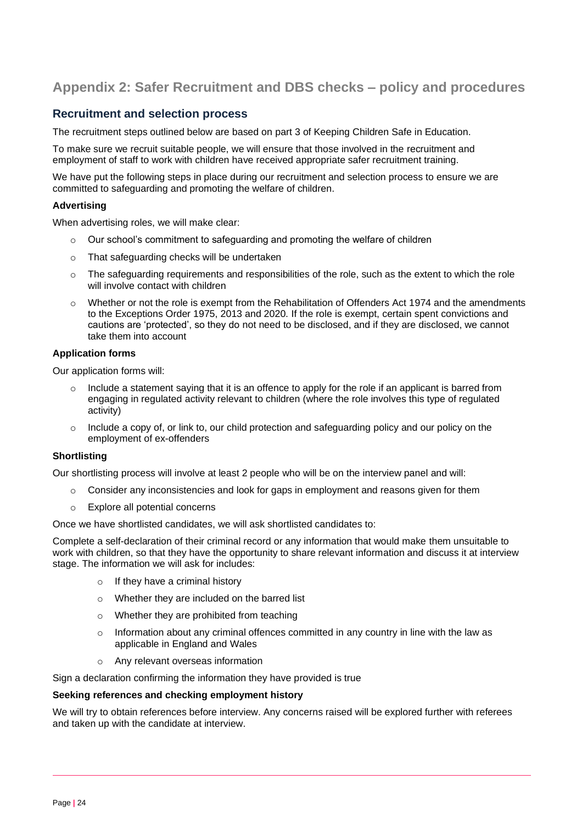# **Appendix 2: Safer Recruitment and DBS checks – policy and procedures**

## **Recruitment and selection process**

The recruitment steps outlined below are based on part 3 of Keeping Children Safe in Education.

To make sure we recruit suitable people, we will ensure that those involved in the recruitment and employment of staff to work with children have received appropriate safer recruitment training.

We have put the following steps in place during our recruitment and selection process to ensure we are committed to safeguarding and promoting the welfare of children.

#### **Advertising**

When advertising roles, we will make clear:

- o Our school's commitment to safeguarding and promoting the welfare of children
- o That safeguarding checks will be undertaken
- $\circ$  The safeguarding requirements and responsibilities of the role, such as the extent to which the role will involve contact with children
- $\circ$  Whether or not the role is exempt from the Rehabilitation of Offenders Act 1974 and the amendments to the Exceptions Order 1975, 2013 and 2020. If the role is exempt, certain spent convictions and cautions are 'protected', so they do not need to be disclosed, and if they are disclosed, we cannot take them into account

#### **Application forms**

Our application forms will:

- Include a statement saying that it is an offence to apply for the role if an applicant is barred from engaging in regulated activity relevant to children (where the role involves this type of regulated activity)
- $\circ$  Include a copy of, or link to, our child protection and safeguarding policy and our policy on the employment of ex-offenders

#### **Shortlisting**

Our shortlisting process will involve at least 2 people who will be on the interview panel and will:

- $\circ$  Consider any inconsistencies and look for gaps in employment and reasons given for them
- o Explore all potential concerns

Once we have shortlisted candidates, we will ask shortlisted candidates to:

Complete a self-declaration of their criminal record or any information that would make them unsuitable to work with children, so that they have the opportunity to share relevant information and discuss it at interview stage. The information we will ask for includes:

- o If they have a criminal history
- Whether they are included on the barred list
- o Whether they are prohibited from teaching
- $\circ$  Information about any criminal offences committed in any country in line with the law as applicable in England and Wales
- o Any relevant overseas information

Sign a declaration confirming the information they have provided is true

#### **Seeking references and checking employment history**

We will try to obtain references before interview. Any concerns raised will be explored further with referees and taken up with the candidate at interview.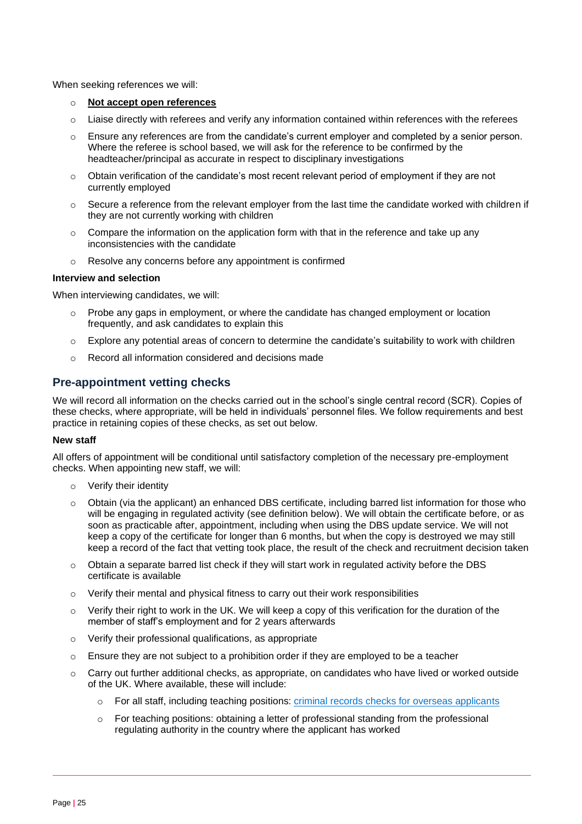When seeking references we will:

- o **Not accept open references**
- $\circ$  Liaise directly with referees and verify any information contained within references with the referees
- o Ensure any references are from the candidate's current employer and completed by a senior person. Where the referee is school based, we will ask for the reference to be confirmed by the headteacher/principal as accurate in respect to disciplinary investigations
- $\circ$  Obtain verification of the candidate's most recent relevant period of employment if they are not currently employed
- $\circ$  Secure a reference from the relevant employer from the last time the candidate worked with children if they are not currently working with children
- $\circ$  Compare the information on the application form with that in the reference and take up any inconsistencies with the candidate
- o Resolve any concerns before any appointment is confirmed

#### **Interview and selection**

When interviewing candidates, we will:

- $\circ$  Probe any gaps in employment, or where the candidate has changed employment or location frequently, and ask candidates to explain this
- $\circ$  Explore any potential areas of concern to determine the candidate's suitability to work with children
- o Record all information considered and decisions made

## **Pre-appointment vetting checks**

We will record all information on the checks carried out in the school's single central record (SCR). Copies of these checks, where appropriate, will be held in individuals' personnel files. We follow requirements and best practice in retaining copies of these checks, as set out below.

#### **New staff**

All offers of appointment will be conditional until satisfactory completion of the necessary pre-employment checks. When appointing new staff, we will:

- o Verify their identity
- o Obtain (via the applicant) an enhanced DBS certificate, including barred list information for those who will be engaging in regulated activity (see definition below). We will obtain the certificate before, or as soon as practicable after, appointment, including when using the DBS update service. We will not keep a copy of the certificate for longer than 6 months, but when the copy is destroyed we may still keep a record of the fact that vetting took place, the result of the check and recruitment decision taken
- $\circ$  Obtain a separate barred list check if they will start work in regulated activity before the DBS certificate is available
- $\circ$  Verify their mental and physical fitness to carry out their work responsibilities
- $\circ$  Verify their right to work in the UK. We will keep a copy of this verification for the duration of the member of staff's employment and for 2 years afterwards
- o Verify their professional qualifications, as appropriate
- $\circ$  Ensure they are not subject to a prohibition order if they are employed to be a teacher
- $\circ$  Carry out further additional checks, as appropriate, on candidates who have lived or worked outside of the UK. Where available, these will include:
	- o For all staff, including teaching positions: [criminal records checks for overseas applicants](https://www.gov.uk/government/publications/criminal-records-checks-for-overseas-applicants)
	- $\circ$  For teaching positions: obtaining a letter of professional standing from the professional regulating authority in the country where the applicant has worked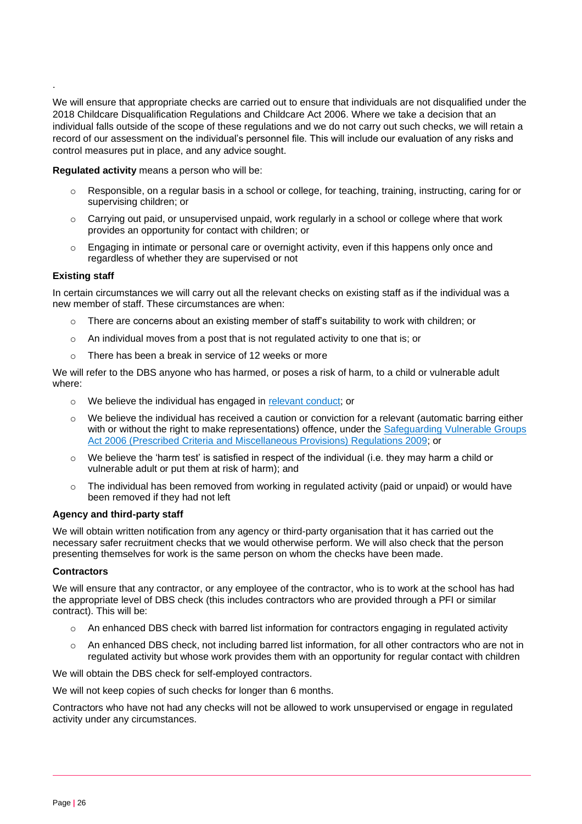We will ensure that appropriate checks are carried out to ensure that individuals are not disqualified under the 2018 Childcare Disqualification Regulations and Childcare Act 2006. Where we take a decision that an individual falls outside of the scope of these regulations and we do not carry out such checks, we will retain a record of our assessment on the individual's personnel file. This will include our evaluation of any risks and control measures put in place, and any advice sought.

**Regulated activity** means a person who will be:

- o Responsible, on a regular basis in a school or college, for teaching, training, instructing, caring for or supervising children; or
- $\circ$  Carrying out paid, or unsupervised unpaid, work regularly in a school or college where that work provides an opportunity for contact with children; or
- $\circ$  Engaging in intimate or personal care or overnight activity, even if this happens only once and regardless of whether they are supervised or not

#### **Existing staff**

.

In certain circumstances we will carry out all the relevant checks on existing staff as if the individual was a new member of staff. These circumstances are when:

- There are concerns about an existing member of staff's suitability to work with children; or
- $\circ$  An individual moves from a post that is not regulated activity to one that is; or
- $\circ$  There has been a break in service of 12 weeks or more

We will refer to the DBS anyone who has harmed, or poses a risk of harm, to a child or vulnerable adult where:

- o We believe the individual has engaged in [relevant conduct;](https://www.gov.uk/guidance/making-barring-referrals-to-the-dbs#relevant-conduct-in-relation-to-children) or
- $\circ$  We believe the individual has received a caution or conviction for a relevant (automatic barring either with or without the right to make representations) offence, under the Safeguarding Vulnerable Groups [Act 2006 \(Prescribed Criteria and Miscellaneous Provisions\) Regulations 2009;](http://www.legislation.gov.uk/uksi/2009/37/contents/made) or
- $\circ$  We believe the 'harm test' is satisfied in respect of the individual (i.e. they may harm a child or vulnerable adult or put them at risk of harm); and
- $\circ$  The individual has been removed from working in regulated activity (paid or unpaid) or would have been removed if they had not left

#### **Agency and third-party staff**

We will obtain written notification from any agency or third-party organisation that it has carried out the necessary safer recruitment checks that we would otherwise perform. We will also check that the person presenting themselves for work is the same person on whom the checks have been made.

#### **Contractors**

We will ensure that any contractor, or any employee of the contractor, who is to work at the school has had the appropriate level of DBS check (this includes contractors who are provided through a PFI or similar contract). This will be:

- $\circ$  An enhanced DBS check with barred list information for contractors engaging in regulated activity
- An enhanced DBS check, not including barred list information, for all other contractors who are not in regulated activity but whose work provides them with an opportunity for regular contact with children

We will obtain the DBS check for self-employed contractors.

We will not keep copies of such checks for longer than 6 months.

Contractors who have not had any checks will not be allowed to work unsupervised or engage in regulated activity under any circumstances.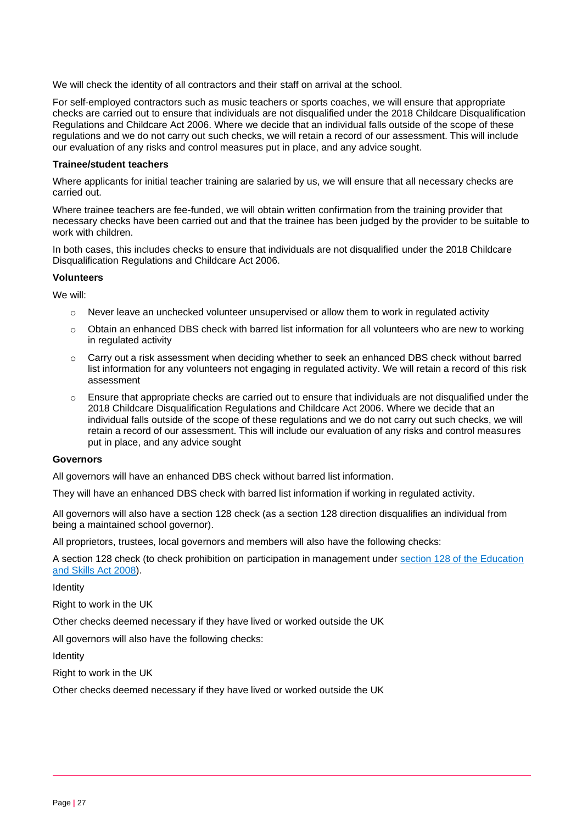We will check the identity of all contractors and their staff on arrival at the school.

For self-employed contractors such as music teachers or sports coaches, we will ensure that appropriate checks are carried out to ensure that individuals are not disqualified under the 2018 Childcare Disqualification Regulations and Childcare Act 2006. Where we decide that an individual falls outside of the scope of these regulations and we do not carry out such checks, we will retain a record of our assessment. This will include our evaluation of any risks and control measures put in place, and any advice sought.

#### **Trainee/student teachers**

Where applicants for initial teacher training are salaried by us, we will ensure that all necessary checks are carried out.

Where trainee teachers are fee-funded, we will obtain written confirmation from the training provider that necessary checks have been carried out and that the trainee has been judged by the provider to be suitable to work with children.

In both cases, this includes checks to ensure that individuals are not disqualified under the 2018 Childcare Disqualification Regulations and Childcare Act 2006.

#### **Volunteers**

We will:

- $\circ$  Never leave an unchecked volunteer unsupervised or allow them to work in regulated activity
- $\circ$  Obtain an enhanced DBS check with barred list information for all volunteers who are new to working in regulated activity
- $\circ$  Carry out a risk assessment when deciding whether to seek an enhanced DBS check without barred list information for any volunteers not engaging in regulated activity. We will retain a record of this risk assessment
- $\circ$  Ensure that appropriate checks are carried out to ensure that individuals are not disqualified under the 2018 Childcare Disqualification Regulations and Childcare Act 2006. Where we decide that an individual falls outside of the scope of these regulations and we do not carry out such checks, we will retain a record of our assessment. This will include our evaluation of any risks and control measures put in place, and any advice sought

#### **Governors**

All governors will have an enhanced DBS check without barred list information.

They will have an enhanced DBS check with barred list information if working in regulated activity.

All governors will also have a section 128 check (as a section 128 direction disqualifies an individual from being a maintained school governor).

All proprietors, trustees, local governors and members will also have the following checks:

A section 128 check (to check prohibition on participation in management under [section 128 of the Education](https://www.legislation.gov.uk/ukpga/2008/25/section/128)  [and Skills Act 2008\)](https://www.legislation.gov.uk/ukpga/2008/25/section/128).

Identity

Right to work in the UK

Other checks deemed necessary if they have lived or worked outside the UK

All governors will also have the following checks:

**Identity** 

Right to work in the UK

Other checks deemed necessary if they have lived or worked outside the UK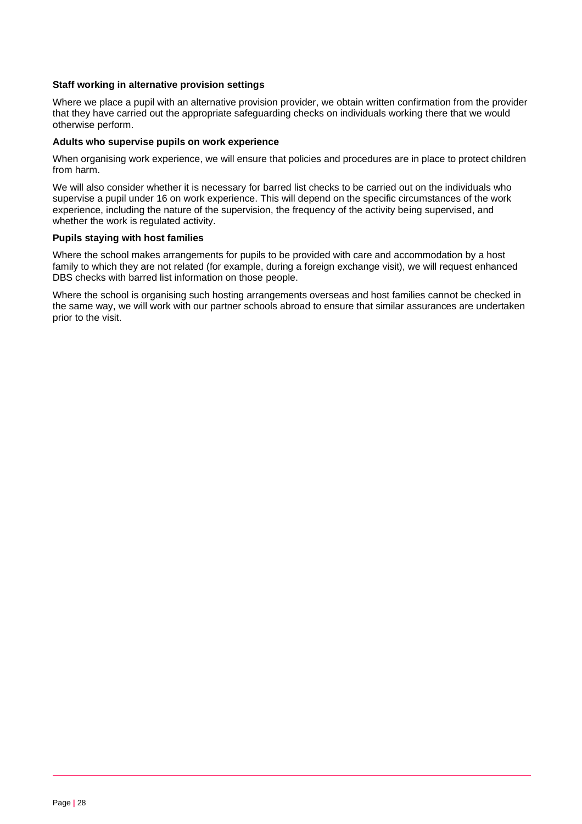#### **Staff working in alternative provision settings**

Where we place a pupil with an alternative provision provider, we obtain written confirmation from the provider that they have carried out the appropriate safeguarding checks on individuals working there that we would otherwise perform.

#### **Adults who supervise pupils on work experience**

When organising work experience, we will ensure that policies and procedures are in place to protect children from harm.

We will also consider whether it is necessary for barred list checks to be carried out on the individuals who supervise a pupil under 16 on work experience. This will depend on the specific circumstances of the work experience, including the nature of the supervision, the frequency of the activity being supervised, and whether the work is regulated activity.

#### **Pupils staying with host families**

Where the school makes arrangements for pupils to be provided with care and accommodation by a host family to which they are not related (for example, during a foreign exchange visit), we will request enhanced DBS checks with barred list information on those people.

Where the school is organising such hosting arrangements overseas and host families cannot be checked in the same way, we will work with our partner schools abroad to ensure that similar assurances are undertaken prior to the visit.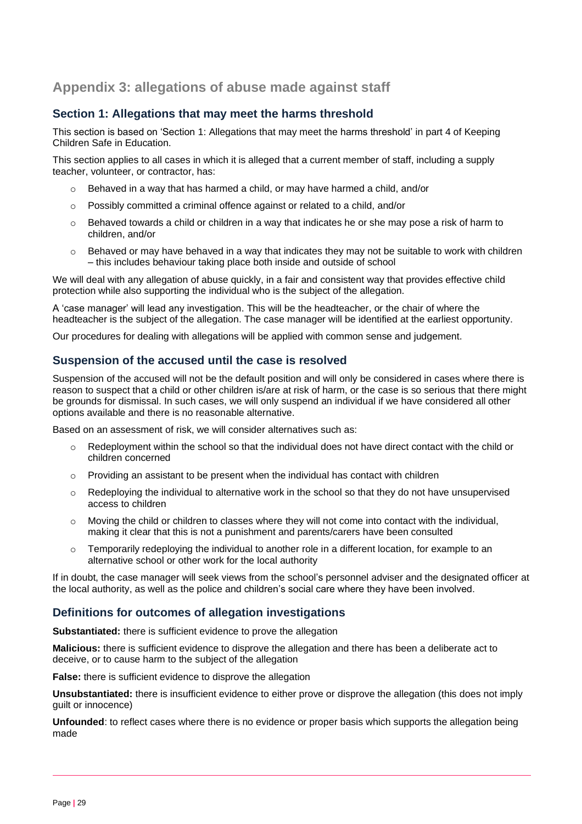# **Appendix 3: allegations of abuse made against staff**

## **Section 1: Allegations that may meet the harms threshold**

This section is based on 'Section 1: Allegations that may meet the harms threshold' in part 4 of Keeping Children Safe in Education.

This section applies to all cases in which it is alleged that a current member of staff, including a supply teacher, volunteer, or contractor, has:

- $\circ$  Behaved in a way that has harmed a child, or may have harmed a child, and/or
- o Possibly committed a criminal offence against or related to a child, and/or
- $\circ$  Behaved towards a child or children in a way that indicates he or she may pose a risk of harm to children, and/or
- o Behaved or may have behaved in a way that indicates they may not be suitable to work with children – this includes behaviour taking place both inside and outside of school

We will deal with any allegation of abuse quickly, in a fair and consistent way that provides effective child protection while also supporting the individual who is the subject of the allegation.

A 'case manager' will lead any investigation. This will be the headteacher, or the chair of where the headteacher is the subject of the allegation. The case manager will be identified at the earliest opportunity.

Our procedures for dealing with allegations will be applied with common sense and judgement.

## **Suspension of the accused until the case is resolved**

Suspension of the accused will not be the default position and will only be considered in cases where there is reason to suspect that a child or other children is/are at risk of harm, or the case is so serious that there might be grounds for dismissal. In such cases, we will only suspend an individual if we have considered all other options available and there is no reasonable alternative.

Based on an assessment of risk, we will consider alternatives such as:

- $\circ$  Redeployment within the school so that the individual does not have direct contact with the child or children concerned
- $\circ$  Providing an assistant to be present when the individual has contact with children
- $\circ$  Redeploying the individual to alternative work in the school so that they do not have unsupervised access to children
- $\circ$  Moving the child or children to classes where they will not come into contact with the individual, making it clear that this is not a punishment and parents/carers have been consulted
- $\circ$  Temporarily redeploying the individual to another role in a different location, for example to an alternative school or other work for the local authority

If in doubt, the case manager will seek views from the school's personnel adviser and the designated officer at the local authority, as well as the police and children's social care where they have been involved.

## **Definitions for outcomes of allegation investigations**

**Substantiated:** there is sufficient evidence to prove the allegation

**Malicious:** there is sufficient evidence to disprove the allegation and there has been a deliberate act to deceive, or to cause harm to the subject of the allegation

**False:** there is sufficient evidence to disprove the allegation

**Unsubstantiated:** there is insufficient evidence to either prove or disprove the allegation (this does not imply guilt or innocence)

**Unfounded**: to reflect cases where there is no evidence or proper basis which supports the allegation being made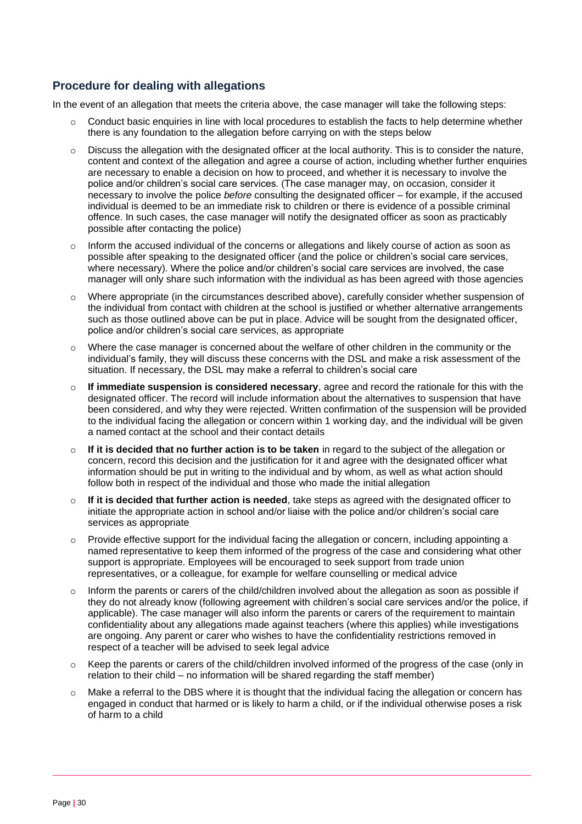## **Procedure for dealing with allegations**

In the event of an allegation that meets the criteria above, the case manager will take the following steps:

- $\circ$  Conduct basic enquiries in line with local procedures to establish the facts to help determine whether there is any foundation to the allegation before carrying on with the steps below
- $\circ$  Discuss the allegation with the designated officer at the local authority. This is to consider the nature, content and context of the allegation and agree a course of action, including whether further enquiries are necessary to enable a decision on how to proceed, and whether it is necessary to involve the police and/or children's social care services. (The case manager may, on occasion, consider it necessary to involve the police *before* consulting the designated officer – for example, if the accused individual is deemed to be an immediate risk to children or there is evidence of a possible criminal offence. In such cases, the case manager will notify the designated officer as soon as practicably possible after contacting the police)
- $\circ$  Inform the accused individual of the concerns or allegations and likely course of action as soon as possible after speaking to the designated officer (and the police or children's social care services, where necessary). Where the police and/or children's social care services are involved, the case manager will only share such information with the individual as has been agreed with those agencies
- $\circ$  Where appropriate (in the circumstances described above), carefully consider whether suspension of the individual from contact with children at the school is justified or whether alternative arrangements such as those outlined above can be put in place. Advice will be sought from the designated officer, police and/or children's social care services, as appropriate
- o Where the case manager is concerned about the welfare of other children in the community or the individual's family, they will discuss these concerns with the DSL and make a risk assessment of the situation. If necessary, the DSL may make a referral to children's social care
- o **If immediate suspension is considered necessary**, agree and record the rationale for this with the designated officer. The record will include information about the alternatives to suspension that have been considered, and why they were rejected. Written confirmation of the suspension will be provided to the individual facing the allegation or concern within 1 working day, and the individual will be given a named contact at the school and their contact details
- o **If it is decided that no further action is to be taken** in regard to the subject of the allegation or concern, record this decision and the justification for it and agree with the designated officer what information should be put in writing to the individual and by whom, as well as what action should follow both in respect of the individual and those who made the initial allegation
- o **If it is decided that further action is needed**, take steps as agreed with the designated officer to initiate the appropriate action in school and/or liaise with the police and/or children's social care services as appropriate
- o Provide effective support for the individual facing the allegation or concern, including appointing a named representative to keep them informed of the progress of the case and considering what other support is appropriate. Employees will be encouraged to seek support from trade union representatives, or a colleague, for example for welfare counselling or medical advice
- $\circ$  Inform the parents or carers of the child/children involved about the allegation as soon as possible if they do not already know (following agreement with children's social care services and/or the police, if applicable). The case manager will also inform the parents or carers of the requirement to maintain confidentiality about any allegations made against teachers (where this applies) while investigations are ongoing. Any parent or carer who wishes to have the confidentiality restrictions removed in respect of a teacher will be advised to seek legal advice
- $\circ$  Keep the parents or carers of the child/children involved informed of the progress of the case (only in relation to their child – no information will be shared regarding the staff member)
- $\circ$  Make a referral to the DBS where it is thought that the individual facing the allegation or concern has engaged in conduct that harmed or is likely to harm a child, or if the individual otherwise poses a risk of harm to a child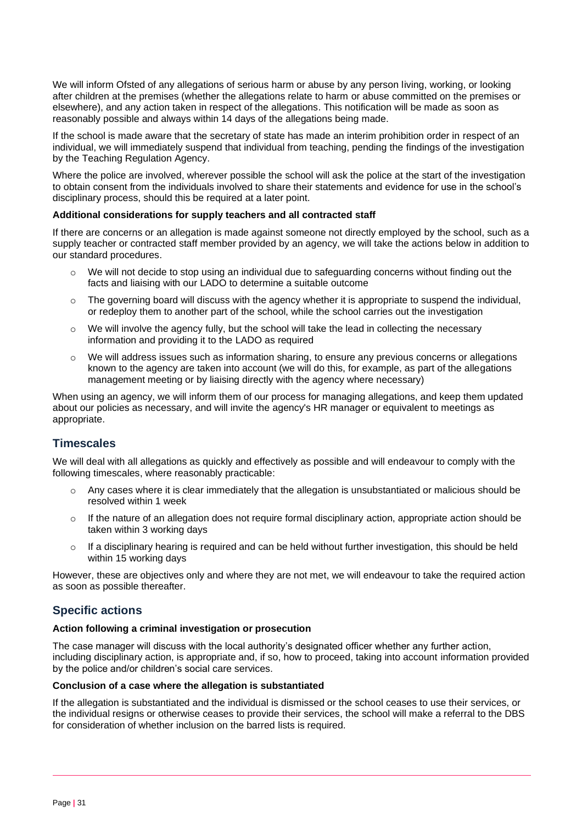We will inform Ofsted of any allegations of serious harm or abuse by any person living, working, or looking after children at the premises (whether the allegations relate to harm or abuse committed on the premises or elsewhere), and any action taken in respect of the allegations. This notification will be made as soon as reasonably possible and always within 14 days of the allegations being made.

If the school is made aware that the secretary of state has made an interim prohibition order in respect of an individual, we will immediately suspend that individual from teaching, pending the findings of the investigation by the Teaching Regulation Agency.

Where the police are involved, wherever possible the school will ask the police at the start of the investigation to obtain consent from the individuals involved to share their statements and evidence for use in the school's disciplinary process, should this be required at a later point.

#### **Additional considerations for supply teachers and all contracted staff**

If there are concerns or an allegation is made against someone not directly employed by the school, such as a supply teacher or contracted staff member provided by an agency, we will take the actions below in addition to our standard procedures.

- We will not decide to stop using an individual due to safeguarding concerns without finding out the facts and liaising with our LADO to determine a suitable outcome
- $\circ$  The governing board will discuss with the agency whether it is appropriate to suspend the individual, or redeploy them to another part of the school, while the school carries out the investigation
- $\circ$  We will involve the agency fully, but the school will take the lead in collecting the necessary information and providing it to the LADO as required
- $\circ$  We will address issues such as information sharing, to ensure any previous concerns or allegations known to the agency are taken into account (we will do this, for example, as part of the allegations management meeting or by liaising directly with the agency where necessary)

When using an agency, we will inform them of our process for managing allegations, and keep them updated about our policies as necessary, and will invite the agency's HR manager or equivalent to meetings as appropriate.

## **Timescales**

We will deal with all allegations as quickly and effectively as possible and will endeavour to comply with the following timescales, where reasonably practicable:

- $\circ$  Any cases where it is clear immediately that the allegation is unsubstantiated or malicious should be resolved within 1 week
- o If the nature of an allegation does not require formal disciplinary action, appropriate action should be taken within 3 working days
- $\circ$  If a disciplinary hearing is required and can be held without further investigation, this should be held within 15 working days

However, these are objectives only and where they are not met, we will endeavour to take the required action as soon as possible thereafter.

## **Specific actions**

#### **Action following a criminal investigation or prosecution**

The case manager will discuss with the local authority's designated officer whether any further action, including disciplinary action, is appropriate and, if so, how to proceed, taking into account information provided by the police and/or children's social care services.

#### **Conclusion of a case where the allegation is substantiated**

If the allegation is substantiated and the individual is dismissed or the school ceases to use their services, or the individual resigns or otherwise ceases to provide their services, the school will make a referral to the DBS for consideration of whether inclusion on the barred lists is required.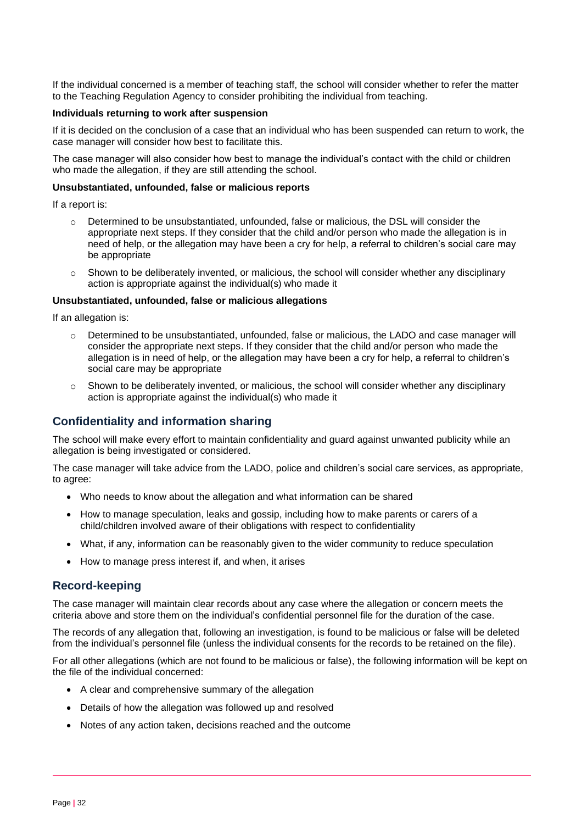If the individual concerned is a member of teaching staff, the school will consider whether to refer the matter to the Teaching Regulation Agency to consider prohibiting the individual from teaching.

#### **Individuals returning to work after suspension**

If it is decided on the conclusion of a case that an individual who has been suspended can return to work, the case manager will consider how best to facilitate this.

The case manager will also consider how best to manage the individual's contact with the child or children who made the allegation, if they are still attending the school.

#### **Unsubstantiated, unfounded, false or malicious reports**

If a report is:

- $\circ$  Determined to be unsubstantiated, unfounded, false or malicious, the DSL will consider the appropriate next steps. If they consider that the child and/or person who made the allegation is in need of help, or the allegation may have been a cry for help, a referral to children's social care may be appropriate
- $\circ$  Shown to be deliberately invented, or malicious, the school will consider whether any disciplinary action is appropriate against the individual(s) who made it

#### **Unsubstantiated, unfounded, false or malicious allegations**

If an allegation is:

- o Determined to be unsubstantiated, unfounded, false or malicious, the LADO and case manager will consider the appropriate next steps. If they consider that the child and/or person who made the allegation is in need of help, or the allegation may have been a cry for help, a referral to children's social care may be appropriate
- $\circ$  Shown to be deliberately invented, or malicious, the school will consider whether any disciplinary action is appropriate against the individual(s) who made it

#### **Confidentiality and information sharing**

The school will make every effort to maintain confidentiality and guard against unwanted publicity while an allegation is being investigated or considered.

The case manager will take advice from the LADO, police and children's social care services, as appropriate, to agree:

- Who needs to know about the allegation and what information can be shared
- How to manage speculation, leaks and gossip, including how to make parents or carers of a child/children involved aware of their obligations with respect to confidentiality
- What, if any, information can be reasonably given to the wider community to reduce speculation
- How to manage press interest if, and when, it arises

#### **Record-keeping**

The case manager will maintain clear records about any case where the allegation or concern meets the criteria above and store them on the individual's confidential personnel file for the duration of the case.

The records of any allegation that, following an investigation, is found to be malicious or false will be deleted from the individual's personnel file (unless the individual consents for the records to be retained on the file).

For all other allegations (which are not found to be malicious or false), the following information will be kept on the file of the individual concerned:

- A clear and comprehensive summary of the allegation
- Details of how the allegation was followed up and resolved
- Notes of any action taken, decisions reached and the outcome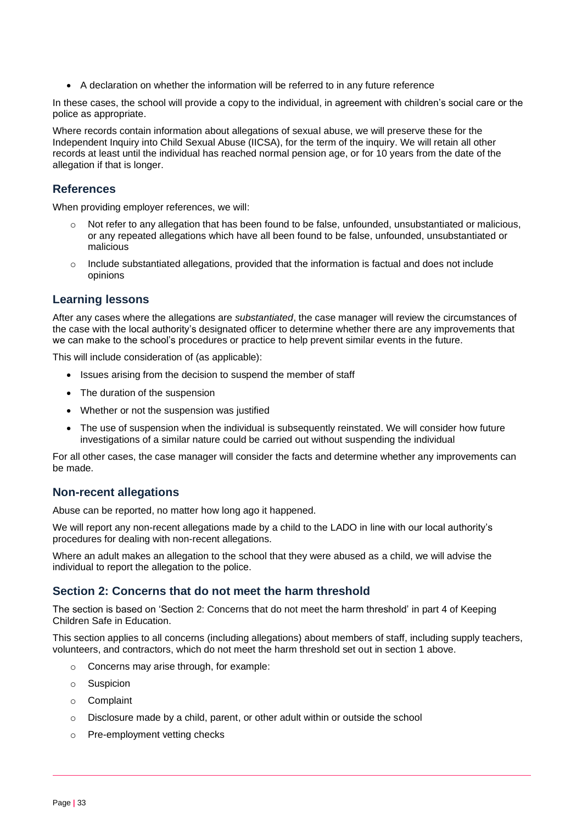• A declaration on whether the information will be referred to in any future reference

In these cases, the school will provide a copy to the individual, in agreement with children's social care or the police as appropriate.

Where records contain information about allegations of sexual abuse, we will preserve these for the Independent Inquiry into Child Sexual Abuse (IICSA), for the term of the inquiry. We will retain all other records at least until the individual has reached normal pension age, or for 10 years from the date of the allegation if that is longer.

## **References**

When providing employer references, we will:

- $\circ$  Not refer to any allegation that has been found to be false, unfounded, unsubstantiated or malicious, or any repeated allegations which have all been found to be false, unfounded, unsubstantiated or malicious
- $\circ$  Include substantiated allegations, provided that the information is factual and does not include opinions

## **Learning lessons**

After any cases where the allegations are *substantiated*, the case manager will review the circumstances of the case with the local authority's designated officer to determine whether there are any improvements that we can make to the school's procedures or practice to help prevent similar events in the future.

This will include consideration of (as applicable):

- Issues arising from the decision to suspend the member of staff
- The duration of the suspension
- Whether or not the suspension was justified
- The use of suspension when the individual is subsequently reinstated. We will consider how future investigations of a similar nature could be carried out without suspending the individual

For all other cases, the case manager will consider the facts and determine whether any improvements can be made.

## **Non-recent allegations**

Abuse can be reported, no matter how long ago it happened.

We will report any non-recent allegations made by a child to the LADO in line with our local authority's procedures for dealing with non-recent allegations.

Where an adult makes an allegation to the school that they were abused as a child, we will advise the individual to report the allegation to the police.

#### **Section 2: Concerns that do not meet the harm threshold**

The section is based on 'Section 2: Concerns that do not meet the harm threshold' in part 4 of Keeping Children Safe in Education.

This section applies to all concerns (including allegations) about members of staff, including supply teachers, volunteers, and contractors, which do not meet the harm threshold set out in section 1 above.

- o Concerns may arise through, for example:
- o Suspicion
- o Complaint
- o Disclosure made by a child, parent, or other adult within or outside the school
- o Pre-employment vetting checks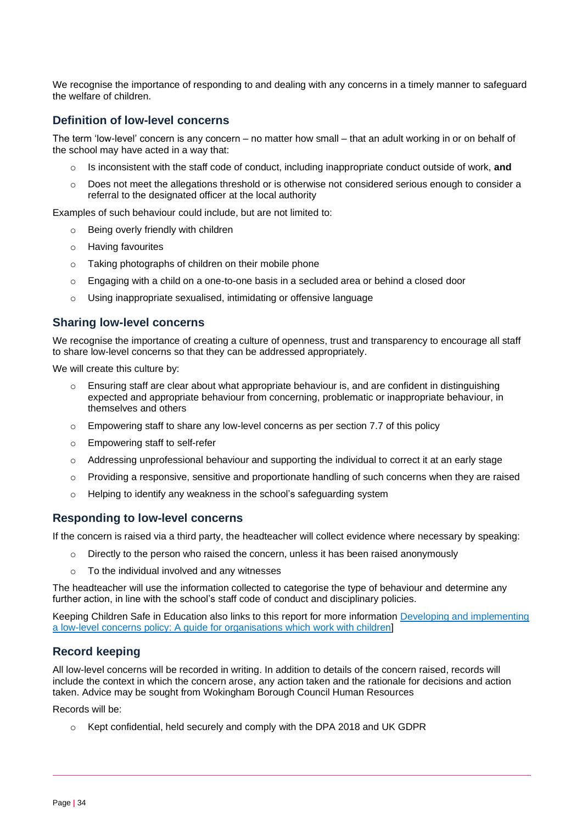We recognise the importance of responding to and dealing with any concerns in a timely manner to safeguard the welfare of children.

## **Definition of low-level concerns**

The term 'low-level' concern is any concern – no matter how small – that an adult working in or on behalf of the school may have acted in a way that:

- o Is inconsistent with the staff code of conduct, including inappropriate conduct outside of work, **and**
- $\circ$  Does not meet the allegations threshold or is otherwise not considered serious enough to consider a referral to the designated officer at the local authority

Examples of such behaviour could include, but are not limited to:

- o Being overly friendly with children
- o Having favourites
- o Taking photographs of children on their mobile phone
- o Engaging with a child on a one-to-one basis in a secluded area or behind a closed door
- o Using inappropriate sexualised, intimidating or offensive language

#### **Sharing low-level concerns**

We recognise the importance of creating a culture of openness, trust and transparency to encourage all staff to share low-level concerns so that they can be addressed appropriately.

We will create this culture by:

- o Ensuring staff are clear about what appropriate behaviour is, and are confident in distinguishing expected and appropriate behaviour from concerning, problematic or inappropriate behaviour, in themselves and others
- $\circ$  Empowering staff to share any low-level concerns as per section 7.7 of this policy
- o Empowering staff to self-refer
- $\circ$  Addressing unprofessional behaviour and supporting the individual to correct it at an early stage
- $\circ$  Providing a responsive, sensitive and proportionate handling of such concerns when they are raised
- o Helping to identify any weakness in the school's safeguarding system

#### **Responding to low-level concerns**

If the concern is raised via a third party, the headteacher will collect evidence where necessary by speaking:

- $\circ$  Directly to the person who raised the concern, unless it has been raised anonymously
- To the individual involved and any witnesses

The headteacher will use the information collected to categorise the type of behaviour and determine any further action, in line with the school's staff code of conduct and disciplinary policies.

Keeping Children Safe in Education also links to this report for more information [Developing and implementing](https://www.farrer.co.uk/news-and-insights/developing-and-implementing-a-low-level-concerns-policy-a-guide-for-organisations-which-work-with-children/)  [a low-level concerns policy: A guide for organisations which](https://www.farrer.co.uk/news-and-insights/developing-and-implementing-a-low-level-concerns-policy-a-guide-for-organisations-which-work-with-children/) work with children]

#### **Record keeping**

All low-level concerns will be recorded in writing. In addition to details of the concern raised, records will include the context in which the concern arose, any action taken and the rationale for decisions and action taken. Advice may be sought from Wokingham Borough Council Human Resources

Records will be:

o Kept confidential, held securely and comply with the DPA 2018 and UK GDPR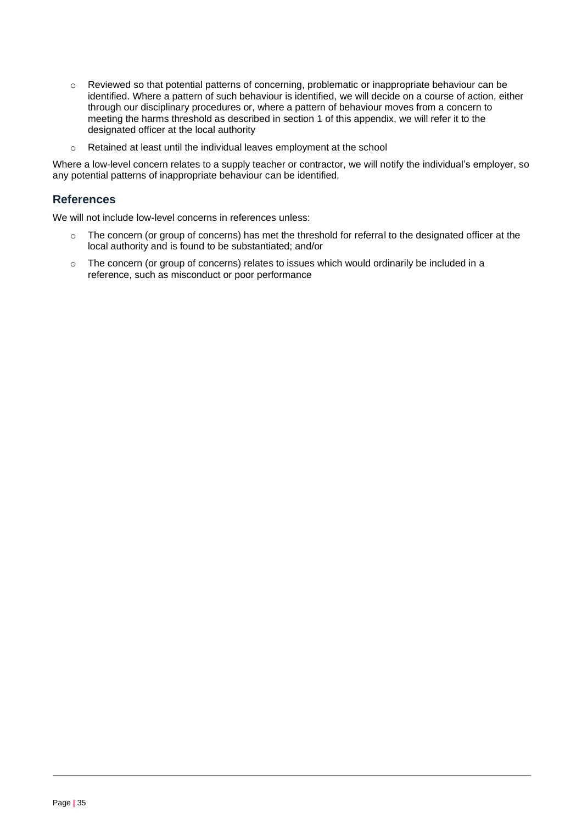- o Reviewed so that potential patterns of concerning, problematic or inappropriate behaviour can be identified. Where a pattern of such behaviour is identified, we will decide on a course of action, either through our disciplinary procedures or, where a pattern of behaviour moves from a concern to meeting the harms threshold as described in section 1 of this appendix, we will refer it to the designated officer at the local authority
- o Retained at least until the individual leaves employment at the school

Where a low-level concern relates to a supply teacher or contractor, we will notify the individual's employer, so any potential patterns of inappropriate behaviour can be identified.

## **References**

We will not include low-level concerns in references unless:

- $\circ$  The concern (or group of concerns) has met the threshold for referral to the designated officer at the local authority and is found to be substantiated; and/or
- o The concern (or group of concerns) relates to issues which would ordinarily be included in a reference, such as misconduct or poor performance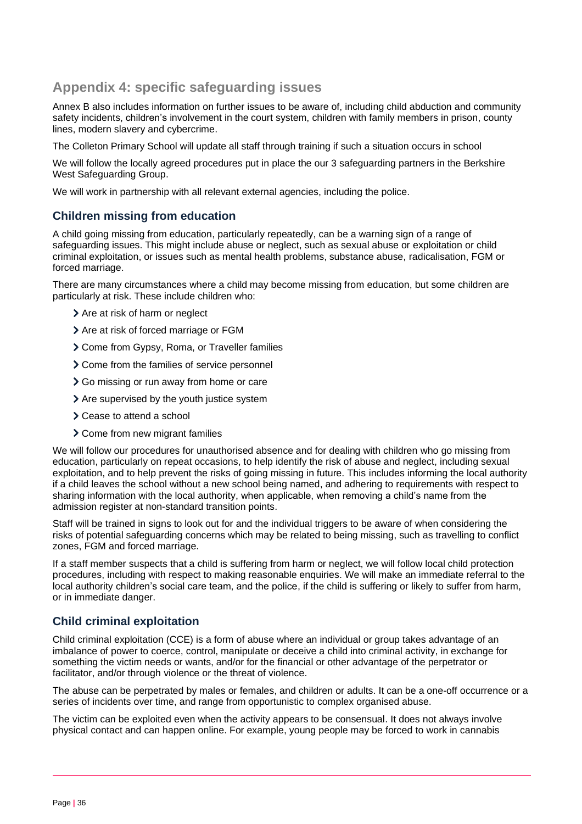# **Appendix 4: specific safeguarding issues**

Annex B also includes information on further issues to be aware of, including child abduction and community safety incidents, children's involvement in the court system, children with family members in prison, county lines, modern slavery and cybercrime.

The Colleton Primary School will update all staff through training if such a situation occurs in school

We will follow the locally agreed procedures put in place the our 3 safeguarding partners in the Berkshire West Safeguarding Group.

We will work in partnership with all relevant external agencies, including the police.

## **Children missing from education**

A child going missing from education, particularly repeatedly, can be a warning sign of a range of safeguarding issues. This might include abuse or neglect, such as sexual abuse or exploitation or child criminal exploitation, or issues such as mental health problems, substance abuse, radicalisation, FGM or forced marriage.

There are many circumstances where a child may become missing from education, but some children are particularly at risk. These include children who:

- > Are at risk of harm or neglect
- > Are at risk of forced marriage or FGM
- Come from Gypsy, Roma, or Traveller families
- > Come from the families of service personnel
- Go missing or run away from home or care
- > Are supervised by the youth justice system
- > Cease to attend a school
- Come from new migrant families

We will follow our procedures for unauthorised absence and for dealing with children who go missing from education, particularly on repeat occasions, to help identify the risk of abuse and neglect, including sexual exploitation, and to help prevent the risks of going missing in future. This includes informing the local authority if a child leaves the school without a new school being named, and adhering to requirements with respect to sharing information with the local authority, when applicable, when removing a child's name from the admission register at non-standard transition points.

Staff will be trained in signs to look out for and the individual triggers to be aware of when considering the risks of potential safeguarding concerns which may be related to being missing, such as travelling to conflict zones, FGM and forced marriage.

If a staff member suspects that a child is suffering from harm or neglect, we will follow local child protection procedures, including with respect to making reasonable enquiries. We will make an immediate referral to the local authority children's social care team, and the police, if the child is suffering or likely to suffer from harm, or in immediate danger.

## **Child criminal exploitation**

Child criminal exploitation (CCE) is a form of abuse where an individual or group takes advantage of an imbalance of power to coerce, control, manipulate or deceive a child into criminal activity, in exchange for something the victim needs or wants, and/or for the financial or other advantage of the perpetrator or facilitator, and/or through violence or the threat of violence.

The abuse can be perpetrated by males or females, and children or adults. It can be a one-off occurrence or a series of incidents over time, and range from opportunistic to complex organised abuse.

The victim can be exploited even when the activity appears to be consensual. It does not always involve physical contact and can happen online. For example, young people may be forced to work in cannabis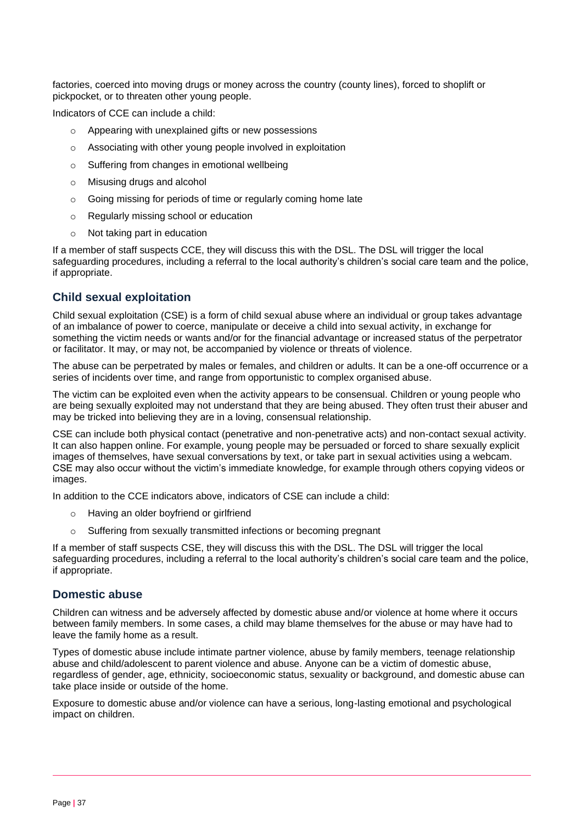factories, coerced into moving drugs or money across the country (county lines), forced to shoplift or pickpocket, or to threaten other young people.

Indicators of CCE can include a child:

- o Appearing with unexplained gifts or new possessions
- o Associating with other young people involved in exploitation
- o Suffering from changes in emotional wellbeing
- o Misusing drugs and alcohol
- o Going missing for periods of time or regularly coming home late
- o Regularly missing school or education
- o Not taking part in education

If a member of staff suspects CCE, they will discuss this with the DSL. The DSL will trigger the local safeguarding procedures, including a referral to the local authority's children's social care team and the police, if appropriate.

## **Child sexual exploitation**

Child sexual exploitation (CSE) is a form of child sexual abuse where an individual or group takes advantage of an imbalance of power to coerce, manipulate or deceive a child into sexual activity, in exchange for something the victim needs or wants and/or for the financial advantage or increased status of the perpetrator or facilitator. It may, or may not, be accompanied by violence or threats of violence.

The abuse can be perpetrated by males or females, and children or adults. It can be a one-off occurrence or a series of incidents over time, and range from opportunistic to complex organised abuse.

The victim can be exploited even when the activity appears to be consensual. Children or young people who are being sexually exploited may not understand that they are being abused. They often trust their abuser and may be tricked into believing they are in a loving, consensual relationship.

CSE can include both physical contact (penetrative and non-penetrative acts) and non-contact sexual activity. It can also happen online. For example, young people may be persuaded or forced to share sexually explicit images of themselves, have sexual conversations by text, or take part in sexual activities using a webcam. CSE may also occur without the victim's immediate knowledge, for example through others copying videos or images.

In addition to the CCE indicators above, indicators of CSE can include a child:

- o Having an older boyfriend or girlfriend
- o Suffering from sexually transmitted infections or becoming pregnant

If a member of staff suspects CSE, they will discuss this with the DSL. The DSL will trigger the local safeguarding procedures, including a referral to the local authority's children's social care team and the police, if appropriate.

## **Domestic abuse**

Children can witness and be adversely affected by domestic abuse and/or violence at home where it occurs between family members. In some cases, a child may blame themselves for the abuse or may have had to leave the family home as a result.

Types of domestic abuse include intimate partner violence, abuse by family members, teenage relationship abuse and child/adolescent to parent violence and abuse. Anyone can be a victim of domestic abuse, regardless of gender, age, ethnicity, socioeconomic status, sexuality or background, and domestic abuse can take place inside or outside of the home.

Exposure to domestic abuse and/or violence can have a serious, long-lasting emotional and psychological impact on children.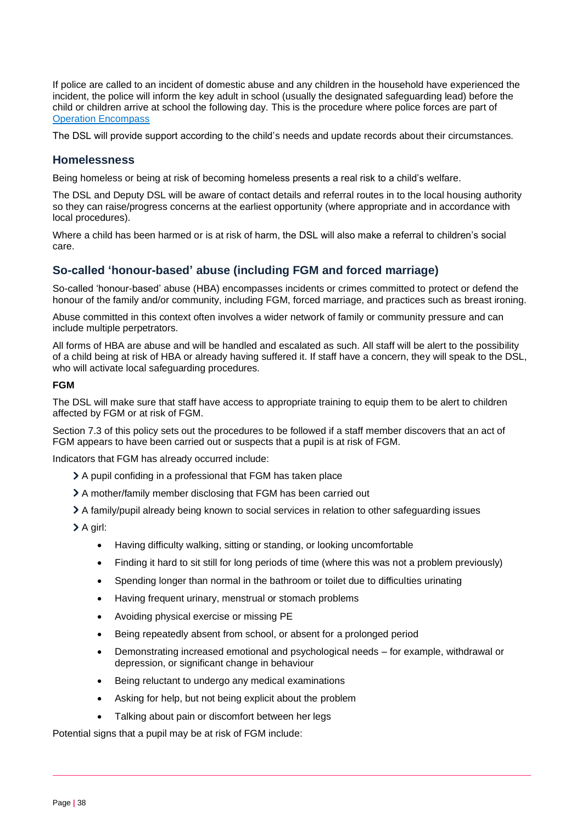If police are called to an incident of domestic abuse and any children in the household have experienced the incident, the police will inform the key adult in school (usually the designated safeguarding lead) before the child or children arrive at school the following day. This is the procedure where police forces are part of Operation [Encompass](https://www.operationencompass.org/)

The DSL will provide support according to the child's needs and update records about their circumstances.

## **Homelessness**

Being homeless or being at risk of becoming homeless presents a real risk to a child's welfare.

The DSL and Deputy DSL will be aware of contact details and referral routes in to the local housing authority so they can raise/progress concerns at the earliest opportunity (where appropriate and in accordance with local procedures).

Where a child has been harmed or is at risk of harm, the DSL will also make a referral to children's social care.

## **So-called 'honour-based' abuse (including FGM and forced marriage)**

So-called 'honour-based' abuse (HBA) encompasses incidents or crimes committed to protect or defend the honour of the family and/or community, including FGM, forced marriage, and practices such as breast ironing.

Abuse committed in this context often involves a wider network of family or community pressure and can include multiple perpetrators.

All forms of HBA are abuse and will be handled and escalated as such. All staff will be alert to the possibility of a child being at risk of HBA or already having suffered it. If staff have a concern, they will speak to the DSL, who will activate local safeguarding procedures.

#### **FGM**

The DSL will make sure that staff have access to appropriate training to equip them to be alert to children affected by FGM or at risk of FGM.

Section 7.3 of this policy sets out the procedures to be followed if a staff member discovers that an act of FGM appears to have been carried out or suspects that a pupil is at risk of FGM.

Indicators that FGM has already occurred include:

- A pupil confiding in a professional that FGM has taken place
- A mother/family member disclosing that FGM has been carried out
- A family/pupil already being known to social services in relation to other safeguarding issues
- $\geq$  A girl:
	- Having difficulty walking, sitting or standing, or looking uncomfortable
	- Finding it hard to sit still for long periods of time (where this was not a problem previously)
	- Spending longer than normal in the bathroom or toilet due to difficulties urinating
	- Having frequent urinary, menstrual or stomach problems
	- Avoiding physical exercise or missing PE
	- Being repeatedly absent from school, or absent for a prolonged period
	- Demonstrating increased emotional and psychological needs for example, withdrawal or depression, or significant change in behaviour
	- Being reluctant to undergo any medical examinations
	- Asking for help, but not being explicit about the problem
	- Talking about pain or discomfort between her legs

Potential signs that a pupil may be at risk of FGM include: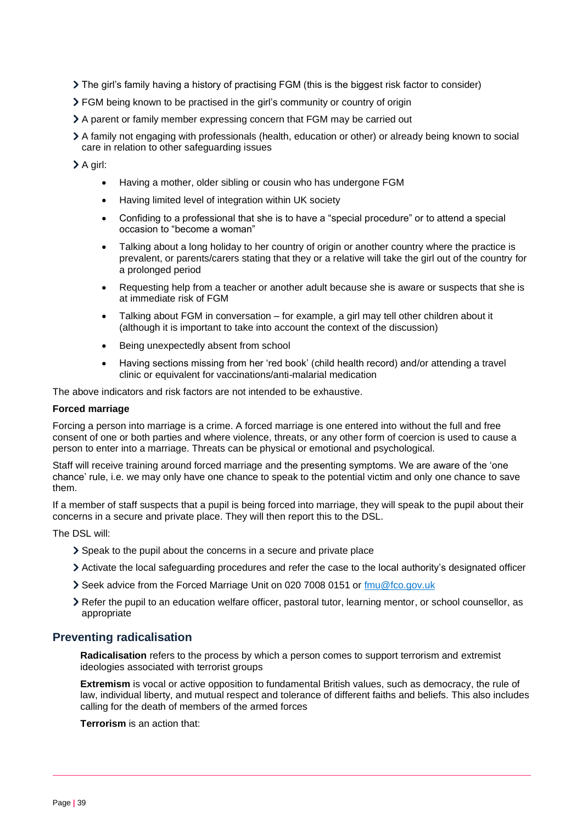- $\geq$  The girl's family having a history of practising FGM (this is the biggest risk factor to consider)
- FGM being known to be practised in the girl's community or country of origin
- A parent or family member expressing concern that FGM may be carried out
- A family not engaging with professionals (health, education or other) or already being known to social care in relation to other safeguarding issues

> A girl:

- Having a mother, older sibling or cousin who has undergone FGM
- Having limited level of integration within UK society
- Confiding to a professional that she is to have a "special procedure" or to attend a special occasion to "become a woman"
- Talking about a long holiday to her country of origin or another country where the practice is prevalent, or parents/carers stating that they or a relative will take the girl out of the country for a prolonged period
- Requesting help from a teacher or another adult because she is aware or suspects that she is at immediate risk of FGM
- Talking about FGM in conversation for example, a girl may tell other children about it (although it is important to take into account the context of the discussion)
- Being unexpectedly absent from school
- Having sections missing from her 'red book' (child health record) and/or attending a travel clinic or equivalent for vaccinations/anti-malarial medication

The above indicators and risk factors are not intended to be exhaustive.

#### **Forced marriage**

Forcing a person into marriage is a crime. A forced marriage is one entered into without the full and free consent of one or both parties and where violence, threats, or any other form of coercion is used to cause a person to enter into a marriage. Threats can be physical or emotional and psychological.

Staff will receive training around forced marriage and the presenting symptoms. We are aware of the 'one chance' rule, i.e. we may only have one chance to speak to the potential victim and only one chance to save them.

If a member of staff suspects that a pupil is being forced into marriage, they will speak to the pupil about their concerns in a secure and private place. They will then report this to the DSL.

The DSL will:

- Speak to the pupil about the concerns in a secure and private place
- Activate the local safeguarding procedures and refer the case to the local authority's designated officer
- Seek advice from the Forced Marriage Unit on 020 7008 0151 or [fmu@fco.gov.uk](mailto:fmu@fco.gov.uk)
- Refer the pupil to an education welfare officer, pastoral tutor, learning mentor, or school counsellor, as appropriate

## **Preventing radicalisation**

**Radicalisation** refers to the process by which a person comes to support terrorism and extremist ideologies associated with terrorist groups

**Extremism** is vocal or active opposition to fundamental British values, such as democracy, the rule of law, individual liberty, and mutual respect and tolerance of different faiths and beliefs. This also includes calling for the death of members of the armed forces

**Terrorism** is an action that: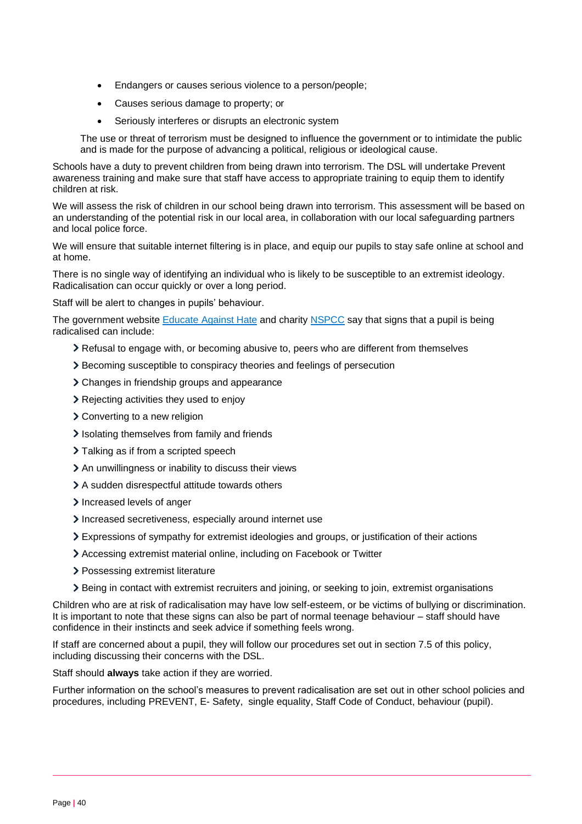- Endangers or causes serious violence to a person/people;
- Causes serious damage to property; or
- Seriously interferes or disrupts an electronic system

The use or threat of terrorism must be designed to influence the government or to intimidate the public and is made for the purpose of advancing a political, religious or ideological cause.

Schools have a duty to prevent children from being drawn into terrorism. The DSL will undertake Prevent awareness training and make sure that staff have access to appropriate training to equip them to identify children at risk.

We will assess the risk of children in our school being drawn into terrorism. This assessment will be based on an understanding of the potential risk in our local area, in collaboration with our local safeguarding partners and local police force.

We will ensure that suitable internet filtering is in place, and equip our pupils to stay safe online at school and at home.

There is no single way of identifying an individual who is likely to be susceptible to an extremist ideology. Radicalisation can occur quickly or over a long period.

Staff will be alert to changes in pupils' behaviour.

The government website **Educate Against Hate and charity [NSPCC](https://www.nspcc.org.uk/what-you-can-do/report-abuse/dedicated-helplines/protecting-children-from-radicalisation/)** say that signs that a pupil is being radicalised can include:

- Refusal to engage with, or becoming abusive to, peers who are different from themselves
- Becoming susceptible to conspiracy theories and feelings of persecution
- Changes in friendship groups and appearance
- Rejecting activities they used to enjoy
- Converting to a new religion
- Isolating themselves from family and friends
- > Talking as if from a scripted speech
- An unwillingness or inability to discuss their views
- A sudden disrespectful attitude towards others
- Increased levels of anger
- Increased secretiveness, especially around internet use
- Expressions of sympathy for extremist ideologies and groups, or justification of their actions
- Accessing extremist material online, including on Facebook or Twitter
- > Possessing extremist literature
- Being in contact with extremist recruiters and joining, or seeking to join, extremist organisations

Children who are at risk of radicalisation may have low self-esteem, or be victims of bullying or discrimination. It is important to note that these signs can also be part of normal teenage behaviour – staff should have confidence in their instincts and seek advice if something feels wrong.

If staff are concerned about a pupil, they will follow our procedures set out in section 7.5 of this policy, including discussing their concerns with the DSL.

Staff should **always** take action if they are worried.

Further information on the school's measures to prevent radicalisation are set out in other school policies and procedures, including PREVENT, E- Safety, single equality, Staff Code of Conduct, behaviour (pupil).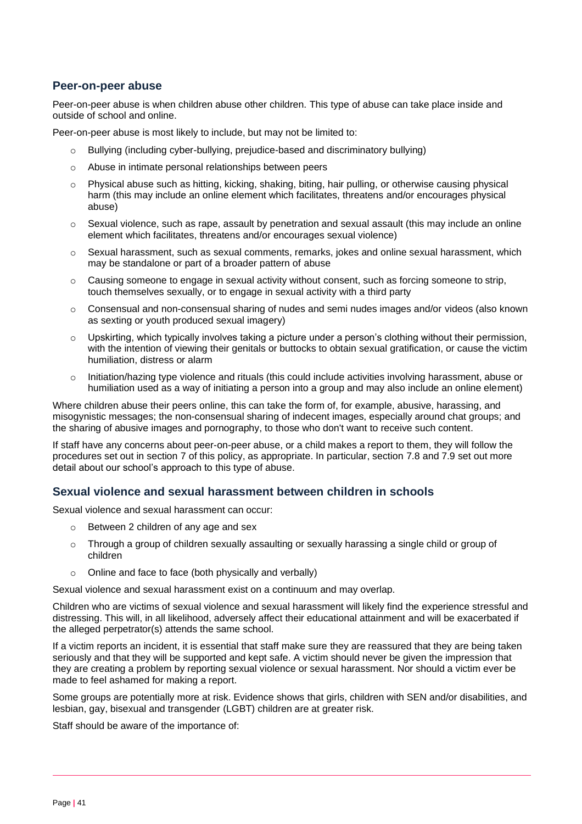## **Peer-on-peer abuse**

Peer-on-peer abuse is when children abuse other children. This type of abuse can take place inside and outside of school and online.

Peer-on-peer abuse is most likely to include, but may not be limited to:

- Bullying (including cyber-bullying, prejudice-based and discriminatory bullying)
- o Abuse in intimate personal relationships between peers
- $\circ$  Physical abuse such as hitting, kicking, shaking, biting, hair pulling, or otherwise causing physical harm (this may include an online element which facilitates, threatens and/or encourages physical abuse)
- o Sexual violence, such as rape, assault by penetration and sexual assault (this may include an online element which facilitates, threatens and/or encourages sexual violence)
- $\circ$  Sexual harassment, such as sexual comments, remarks, jokes and online sexual harassment, which may be standalone or part of a broader pattern of abuse
- $\circ$  Causing someone to engage in sexual activity without consent, such as forcing someone to strip, touch themselves sexually, or to engage in sexual activity with a third party
- $\circ$  Consensual and non-consensual sharing of nudes and semi nudes images and/or videos (also known as sexting or youth produced sexual imagery)
- Upskirting, which typically involves taking a picture under a person's clothing without their permission, with the intention of viewing their genitals or buttocks to obtain sexual gratification, or cause the victim humiliation, distress or alarm
- o Initiation/hazing type violence and rituals (this could include activities involving harassment, abuse or humiliation used as a way of initiating a person into a group and may also include an online element)

Where children abuse their peers online, this can take the form of, for example, abusive, harassing, and misogynistic messages; the non-consensual sharing of indecent images, especially around chat groups; and the sharing of abusive images and pornography, to those who don't want to receive such content.

If staff have any concerns about peer-on-peer abuse, or a child makes a report to them, they will follow the procedures set out in section 7 of this policy, as appropriate. In particular, section 7.8 and 7.9 set out more detail about our school's approach to this type of abuse.

## **Sexual violence and sexual harassment between children in schools**

Sexual violence and sexual harassment can occur:

- o Between 2 children of any age and sex
- $\circ$  Through a group of children sexually assaulting or sexually harassing a single child or group of children
- o Online and face to face (both physically and verbally)

Sexual violence and sexual harassment exist on a continuum and may overlap.

Children who are victims of sexual violence and sexual harassment will likely find the experience stressful and distressing. This will, in all likelihood, adversely affect their educational attainment and will be exacerbated if the alleged perpetrator(s) attends the same school.

If a victim reports an incident, it is essential that staff make sure they are reassured that they are being taken seriously and that they will be supported and kept safe. A victim should never be given the impression that they are creating a problem by reporting sexual violence or sexual harassment. Nor should a victim ever be made to feel ashamed for making a report.

Some groups are potentially more at risk. Evidence shows that girls, children with SEN and/or disabilities, and lesbian, gay, bisexual and transgender (LGBT) children are at greater risk.

Staff should be aware of the importance of: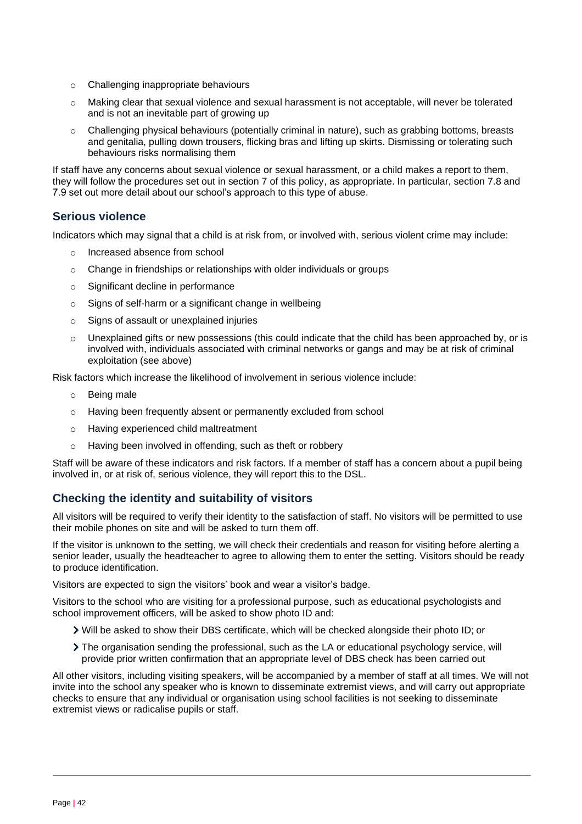- o Challenging inappropriate behaviours
- o Making clear that sexual violence and sexual harassment is not acceptable, will never be tolerated and is not an inevitable part of growing up
- o Challenging physical behaviours (potentially criminal in nature), such as grabbing bottoms, breasts and genitalia, pulling down trousers, flicking bras and lifting up skirts. Dismissing or tolerating such behaviours risks normalising them

If staff have any concerns about sexual violence or sexual harassment, or a child makes a report to them, they will follow the procedures set out in section 7 of this policy, as appropriate. In particular, section 7.8 and 7.9 set out more detail about our school's approach to this type of abuse.

## **Serious violence**

Indicators which may signal that a child is at risk from, or involved with, serious violent crime may include:

- o Increased absence from school
- o Change in friendships or relationships with older individuals or groups
- o Significant decline in performance
- o Signs of self-harm or a significant change in wellbeing
- o Signs of assault or unexplained injuries
- $\circ$  Unexplained gifts or new possessions (this could indicate that the child has been approached by, or is involved with, individuals associated with criminal networks or gangs and may be at risk of criminal exploitation (see above)

Risk factors which increase the likelihood of involvement in serious violence include:

- o Being male
- o Having been frequently absent or permanently excluded from school
- o Having experienced child maltreatment
- o Having been involved in offending, such as theft or robbery

Staff will be aware of these indicators and risk factors. If a member of staff has a concern about a pupil being involved in, or at risk of, serious violence, they will report this to the DSL.

## **Checking the identity and suitability of visitors**

All visitors will be required to verify their identity to the satisfaction of staff. No visitors will be permitted to use their mobile phones on site and will be asked to turn them off.

If the visitor is unknown to the setting, we will check their credentials and reason for visiting before alerting a senior leader, usually the headteacher to agree to allowing them to enter the setting. Visitors should be ready to produce identification.

Visitors are expected to sign the visitors' book and wear a visitor's badge.

Visitors to the school who are visiting for a professional purpose, such as educational psychologists and school improvement officers, will be asked to show photo ID and:

- Will be asked to show their DBS certificate, which will be checked alongside their photo ID; or
- The organisation sending the professional, such as the LA or educational psychology service, will provide prior written confirmation that an appropriate level of DBS check has been carried out

All other visitors, including visiting speakers, will be accompanied by a member of staff at all times. We will not invite into the school any speaker who is known to disseminate extremist views, and will carry out appropriate checks to ensure that any individual or organisation using school facilities is not seeking to disseminate extremist views or radicalise pupils or staff.